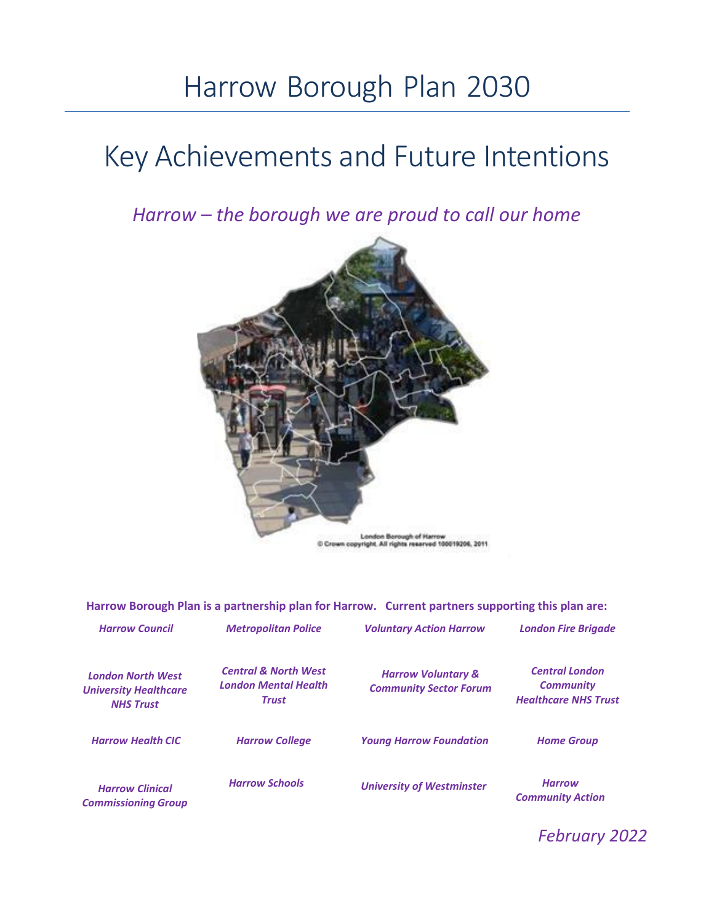# Harrow Borough Plan 2030

# Key Achievements and Future Intentions

*Harrow – the borough we are proud to call our home*



**Harrow Borough Plan is a partnership plan for Harrow. Current partners supporting this plan are:**

| <b>Harrow Council</b>                                                        | <b>Metropolitan Police</b>                                                     | <b>Voluntary Action Harrow</b>                                 | <b>London Fire Brigade</b>                                               |
|------------------------------------------------------------------------------|--------------------------------------------------------------------------------|----------------------------------------------------------------|--------------------------------------------------------------------------|
| <b>London North West</b><br><b>University Healthcare</b><br><b>NHS Trust</b> | <b>Central &amp; North West</b><br><b>London Mental Health</b><br><b>Trust</b> | <b>Harrow Voluntary &amp;</b><br><b>Community Sector Forum</b> | <b>Central London</b><br><b>Community</b><br><b>Healthcare NHS Trust</b> |
| <b>Harrow Health CIC</b>                                                     | <b>Harrow College</b>                                                          | <b>Young Harrow Foundation</b>                                 | <b>Home Group</b>                                                        |
| <b>Harrow Clinical</b><br><b>Commissioning Group</b>                         | <b>Harrow Schools</b>                                                          | <b>University of Westminster</b>                               | <b>Harrow</b><br><b>Community Action</b>                                 |

*February 2022*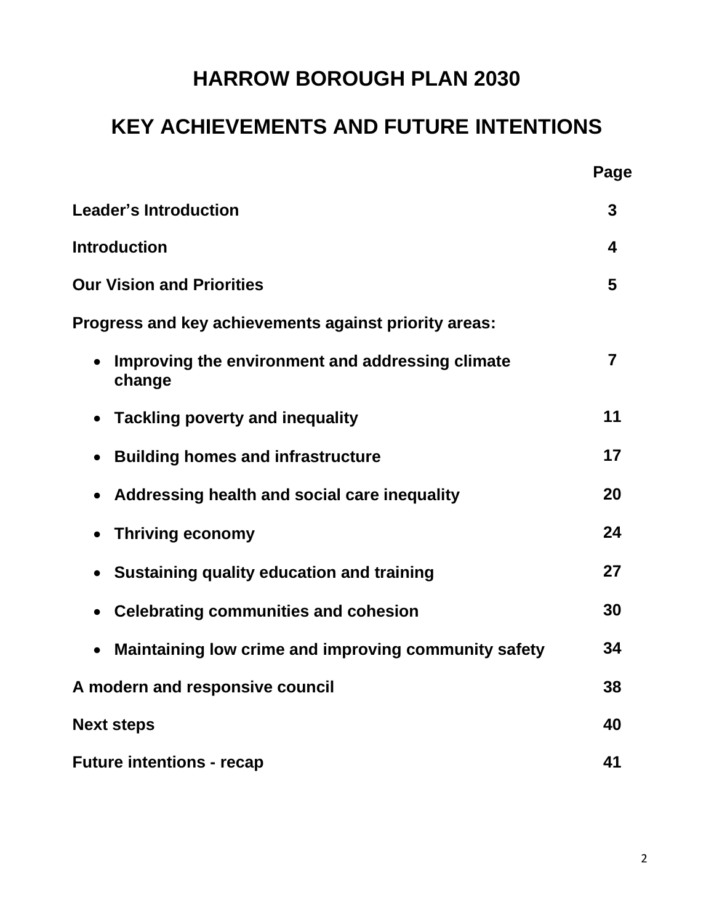## **HARROW BOROUGH PLAN 2030**

## **KEY ACHIEVEMENTS AND FUTURE INTENTIONS**

|                                                                   | Page |
|-------------------------------------------------------------------|------|
| <b>Leader's Introduction</b>                                      | 3    |
| <b>Introduction</b>                                               | 4    |
| <b>Our Vision and Priorities</b>                                  | 5    |
| Progress and key achievements against priority areas:             |      |
| Improving the environment and addressing climate<br>change        | 7    |
| <b>Tackling poverty and inequality</b>                            | 11   |
| <b>Building homes and infrastructure</b><br>$\bullet$             | 17   |
| Addressing health and social care inequality                      | 20   |
| <b>Thriving economy</b>                                           | 24   |
| Sustaining quality education and training                         | 27   |
| <b>Celebrating communities and cohesion</b><br>$\bullet$          | 30   |
| Maintaining low crime and improving community safety<br>$\bullet$ | 34   |
| A modern and responsive council                                   | 38   |
| <b>Next steps</b>                                                 | 40   |
| <b>Future intentions - recap</b>                                  | 41   |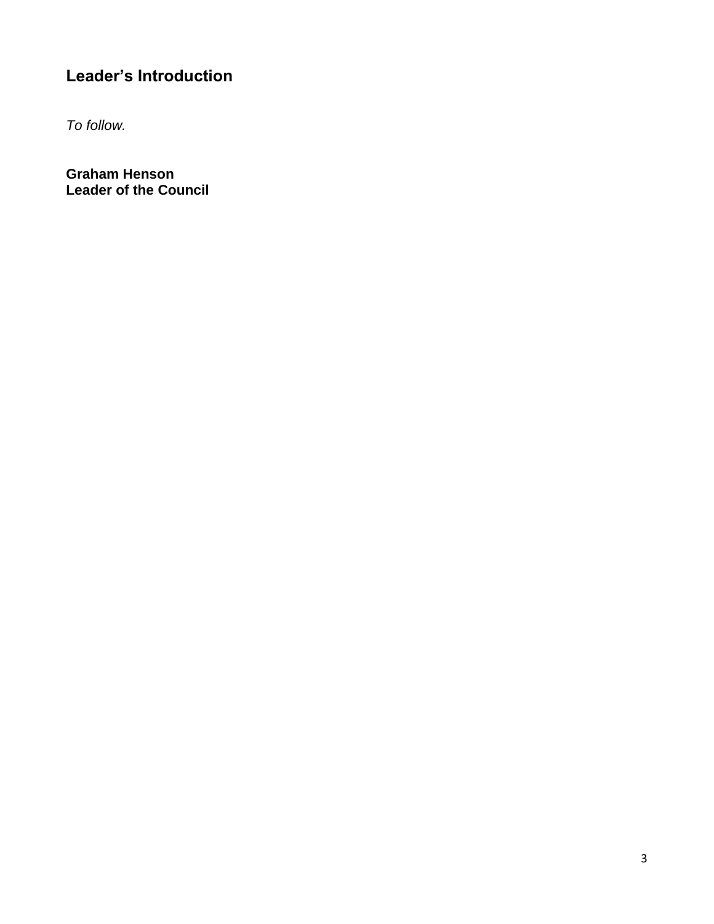## **Leader's Introduction**

*To follow.*

**Graham Henson Leader of the Council**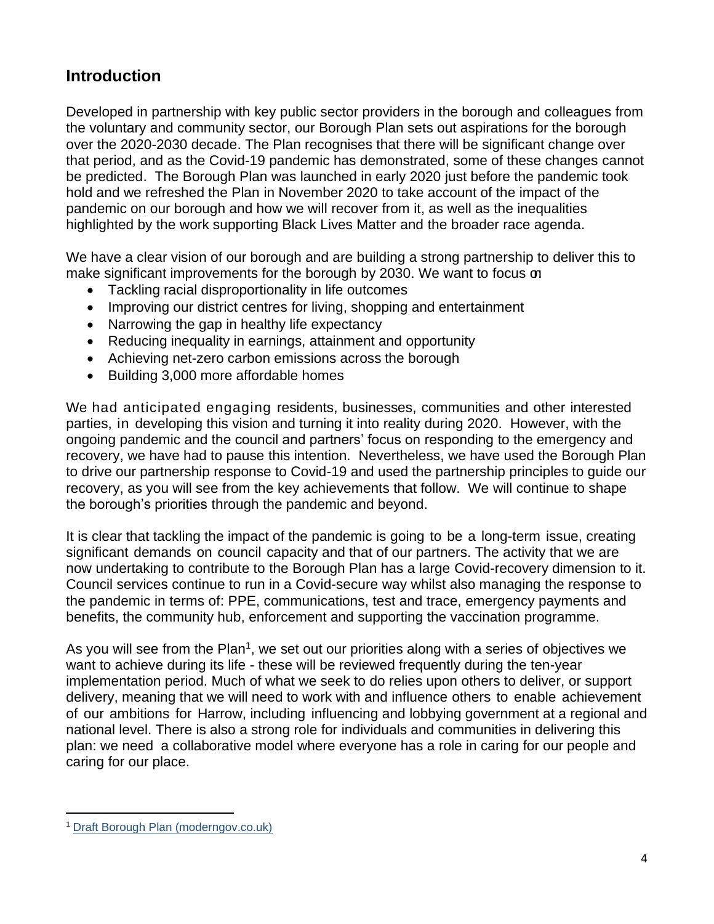## **Introduction**

Developed in partnership with key public sector providers in the borough and colleagues from the voluntary and community sector, our Borough Plan sets out aspirations for the borough over the 2020-2030 decade. The Plan recognises that there will be significant change over that period, and as the Covid-19 pandemic has demonstrated, some of these changes cannot be predicted. The Borough Plan was launched in early 2020 just before the pandemic took hold and we refreshed the Plan in November 2020 to take account of the impact of the pandemic on our borough and how we will recover from it, as well as the inequalities highlighted by the work supporting Black Lives Matter and the broader race agenda.

We have a clear vision of our borough and are building a strong partnership to deliver this to make significant improvements for the borough by 2030. We want to focus on:

- Tackling racial disproportionality in life outcomes
- Improving our district centres for living, shopping and entertainment
- Narrowing the gap in healthy life expectancy
- Reducing inequality in earnings, attainment and opportunity
- Achieving net-zero carbon emissions across the borough
- Building 3,000 more affordable homes

We had anticipated engaging residents, businesses, communities and other interested parties, in developing this vision and turning it into reality during 2020. However, with the ongoing pandemic and the council and partners' focus on responding to the emergency and recovery, we have had to pause this intention. Nevertheless, we have used the Borough Plan to drive our partnership response to Covid-19 and used the partnership principles to guide our recovery, as you will see from the key achievements that follow. We will continue to shape the borough's priorities through the pandemic and beyond.

It is clear that tackling the impact of the pandemic is going to be a long-term issue, creating significant demands on council capacity and that of our partners. The activity that we are now undertaking to contribute to the Borough Plan has a large Covid-recovery dimension to it. Council services continue to run in a Covid-secure way whilst also managing the response to the pandemic in terms of: PPE, communications, test and trace, emergency payments and benefits, the community hub, enforcement and supporting the vaccination programme.

As you will see from the Plan<sup>1</sup>, we set out our priorities along with a series of objectives we want to achieve during its life - these will be reviewed frequently during the ten-year implementation period. Much of what we seek to do relies upon others to deliver, or support delivery, meaning that we will need to work with and influence others to enable achievement of our ambitions for Harrow, including influencing and lobbying government at a regional and national level. There is also a strong role for individuals and communities in delivering this plan: we need a collaborative model where everyone has a role in caring for our people and caring for our place.

<sup>1</sup> [Draft Borough Plan \(moderngov.co.uk\)](https://harrowintranet.moderngov.co.uk/documents/s168051/Appendix%201%20-%20Borough%20Plan%20-%20Revised%20Nov%202020.pdf)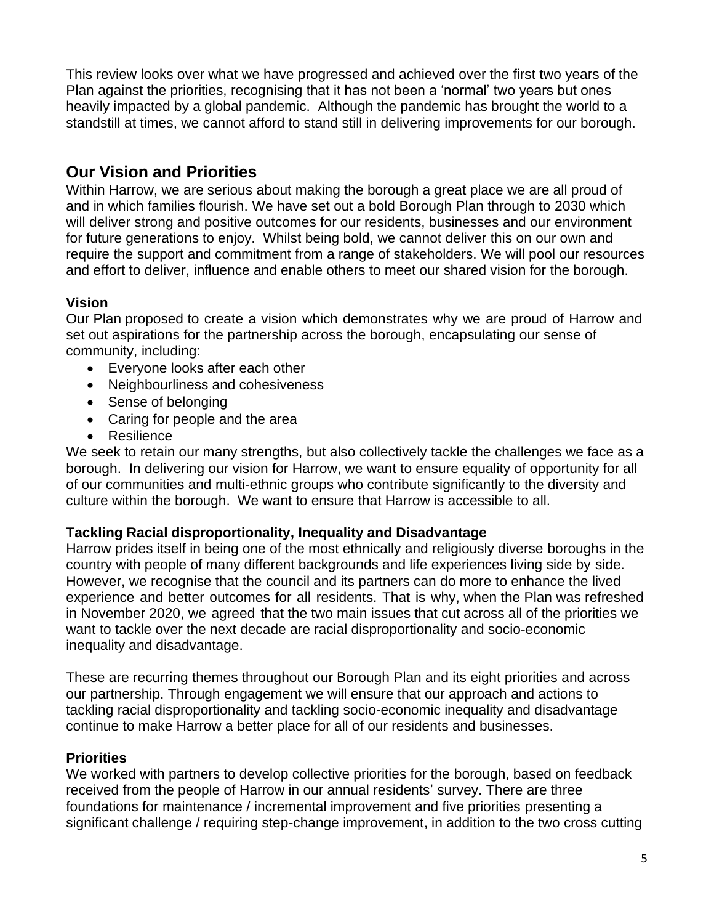This review looks over what we have progressed and achieved over the first two years of the Plan against the priorities, recognising that it has not been a 'normal' two years but ones heavily impacted by a global pandemic. Although the pandemic has brought the world to a standstill at times, we cannot afford to stand still in delivering improvements for our borough.

## **Our Vision and Priorities**

Within Harrow, we are serious about making the borough a great place we are all proud of and in which families flourish. We have set out a bold Borough Plan through to 2030 which will deliver strong and positive outcomes for our residents, businesses and our environment for future generations to enjoy. Whilst being bold, we cannot deliver this on our own and require the support and commitment from a range of stakeholders. We will pool our resources and effort to deliver, influence and enable others to meet our shared vision for the borough.

#### **Vision**

Our Plan proposed to create a vision which demonstrates why we are proud of Harrow and set out aspirations for the partnership across the borough, encapsulating our sense of community, including:

- Everyone looks after each other
- Neighbourliness and cohesiveness
- Sense of belonging
- Caring for people and the area
- Resilience

We seek to retain our many strengths, but also collectively tackle the challenges we face as a borough. In delivering our vision for Harrow, we want to ensure equality of opportunity for all of our communities and multi-ethnic groups who contribute significantly to the diversity and culture within the borough. We want to ensure that Harrow is accessible to all.

#### **Tackling Racial disproportionality, Inequality and Disadvantage**

Harrow prides itself in being one of the most ethnically and religiously diverse boroughs in the country with people of many different backgrounds and life experiences living side by side. However, we recognise that the council and its partners can do more to enhance the lived experience and better outcomes for all residents. That is why, when the Plan was refreshed in November 2020, we agreed that the two main issues that cut across all of the priorities we want to tackle over the next decade are racial disproportionality and socio-economic inequality and disadvantage.

These are recurring themes throughout our Borough Plan and its eight priorities and across our partnership. Through engagement we will ensure that our approach and actions to tackling racial disproportionality and tackling socio-economic inequality and disadvantage continue to make Harrow a better place for all of our residents and businesses.

#### **Priorities**

We worked with partners to develop collective priorities for the borough, based on feedback received from the people of Harrow in our annual residents' survey. There are three foundations for maintenance / incremental improvement and five priorities presenting a significant challenge / requiring step-change improvement, in addition to the two cross cutting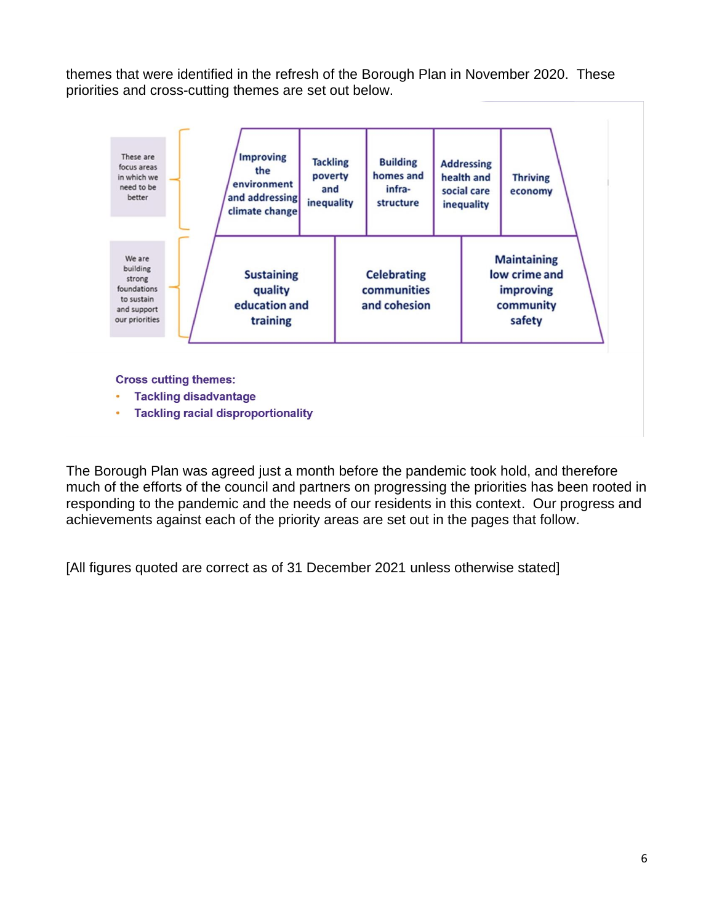themes that were identified in the refresh of the Borough Plan in November 2020. These priorities and cross-cutting themes are set out below.



**Cross cutting themes:** 

- **Tackling disadvantage**
- **Tackling racial disproportionality**  $\bullet$

The Borough Plan was agreed just a month before the pandemic took hold, and therefore much of the efforts of the council and partners on progressing the priorities has been rooted in responding to the pandemic and the needs of our residents in this context. Our progress and achievements against each of the priority areas are set out in the pages that follow.

[All figures quoted are correct as of 31 December 2021 unless otherwise stated]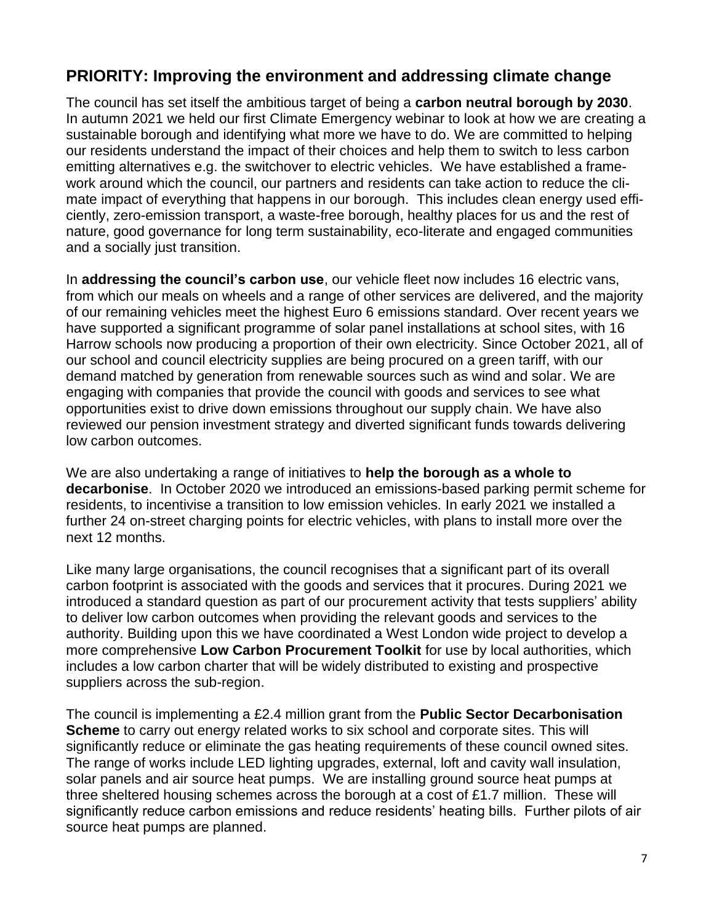## **PRIORITY: Improving the environment and addressing climate change**

The council has set itself the ambitious target of being a **carbon neutral borough by 2030**. In autumn 2021 we held our first Climate Emergency webinar to look at how we are creating a sustainable borough and identifying what more we have to do. We are committed to helping our residents understand the impact of their choices and help them to switch to less carbon emitting alternatives e.g. the switchover to electric vehicles. We have established a framework around which the council, our partners and residents can take action to reduce the climate impact of everything that happens in our borough. This includes clean energy used efficiently, zero-emission transport, a waste-free borough, healthy places for us and the rest of nature, good governance for long term sustainability, eco-literate and engaged communities and a socially just transition.

In **addressing the council's carbon use**, our vehicle fleet now includes 16 electric vans, from which our meals on wheels and a range of other services are delivered, and the majority of our remaining vehicles meet the highest Euro 6 emissions standard. Over recent years we have supported a significant programme of solar panel installations at school sites, with 16 Harrow schools now producing a proportion of their own electricity. Since October 2021, all of our school and council electricity supplies are being procured on a green tariff, with our demand matched by generation from renewable sources such as wind and solar. We are engaging with companies that provide the council with goods and services to see what opportunities exist to drive down emissions throughout our supply chain. We have also reviewed our pension investment strategy and diverted significant funds towards delivering low carbon outcomes.

We are also undertaking a range of initiatives to **help the borough as a whole to decarbonise**. In October 2020 we introduced an emissions-based parking permit scheme for residents, to incentivise a transition to low emission vehicles. In early 2021 we installed a further 24 on-street charging points for electric vehicles, with plans to install more over the next 12 months.

Like many large organisations, the council recognises that a significant part of its overall carbon footprint is associated with the goods and services that it procures. During 2021 we introduced a standard question as part of our procurement activity that tests suppliers' ability to deliver low carbon outcomes when providing the relevant goods and services to the authority. Building upon this we have coordinated a West London wide project to develop a more comprehensive **Low Carbon Procurement Toolkit** for use by local authorities, which includes a low carbon charter that will be widely distributed to existing and prospective suppliers across the sub-region.

The council is implementing a £2.4 million grant from the **Public Sector Decarbonisation Scheme** to carry out energy related works to six school and corporate sites. This will significantly reduce or eliminate the gas heating requirements of these council owned sites. The range of works include LED lighting upgrades, external, loft and cavity wall insulation, solar panels and air source heat pumps. We are installing ground source heat pumps at three sheltered housing schemes across the borough at a cost of £1.7 million. These will significantly reduce carbon emissions and reduce residents' heating bills. Further pilots of air source heat pumps are planned.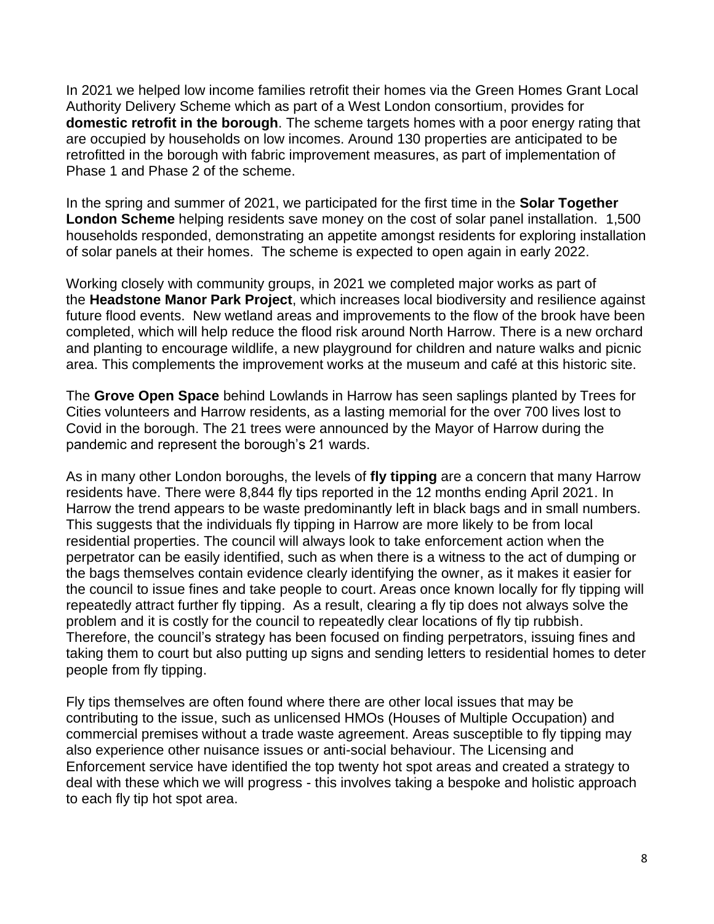In 2021 we helped low income families retrofit their homes via the Green Homes Grant Local Authority Delivery Scheme which as part of a West London consortium, provides for **domestic retrofit in the borough**. The scheme targets homes with a poor energy rating that are occupied by households on low incomes. Around 130 properties are anticipated to be retrofitted in the borough with fabric improvement measures, as part of implementation of Phase 1 and Phase 2 of the scheme.

In the spring and summer of 2021, we participated for the first time in the **Solar Together London Scheme** helping residents save money on the cost of solar panel installation. 1,500 households responded, demonstrating an appetite amongst residents for exploring installation of solar panels at their homes. The scheme is expected to open again in early 2022.

Working closely with community groups, in 2021 we completed major works as part of the **Headstone Manor Park Project**, which increases local biodiversity and resilience against future flood events. New wetland areas and improvements to the flow of the brook have been completed, which will help reduce the flood risk around North Harrow. There is a new orchard and planting to encourage wildlife, a new playground for children and nature walks and picnic area. This complements the improvement works at the museum and café at this historic site.

The **Grove Open Space** behind Lowlands in Harrow has seen saplings planted by Trees for Cities volunteers and Harrow residents, as a lasting memorial for the over 700 lives lost to Covid in the borough. The 21 trees were announced by the Mayor of Harrow during the pandemic and represent the borough's 21 wards.

As in many other London boroughs, the levels of **fly tipping** are a concern that many Harrow residents have. There were 8,844 fly tips reported in the 12 months ending April 2021. In Harrow the trend appears to be waste predominantly left in black bags and in small numbers. This suggests that the individuals fly tipping in Harrow are more likely to be from local residential properties. The council will always look to take enforcement action when the perpetrator can be easily identified, such as when there is a witness to the act of dumping or the bags themselves contain evidence clearly identifying the owner, as it makes it easier for the council to issue fines and take people to court. Areas once known locally for fly tipping will repeatedly attract further fly tipping. As a result, clearing a fly tip does not always solve the problem and it is costly for the council to repeatedly clear locations of fly tip rubbish. Therefore, the council's strategy has been focused on finding perpetrators, issuing fines and taking them to court but also putting up signs and sending letters to residential homes to deter people from fly tipping.

Fly tips themselves are often found where there are other local issues that may be contributing to the issue, such as unlicensed HMOs (Houses of Multiple Occupation) and commercial premises without a trade waste agreement. Areas susceptible to fly tipping may also experience other nuisance issues or anti-social behaviour. The Licensing and Enforcement service have identified the top twenty hot spot areas and created a strategy to deal with these which we will progress - this involves taking a bespoke and holistic approach to each fly tip hot spot area.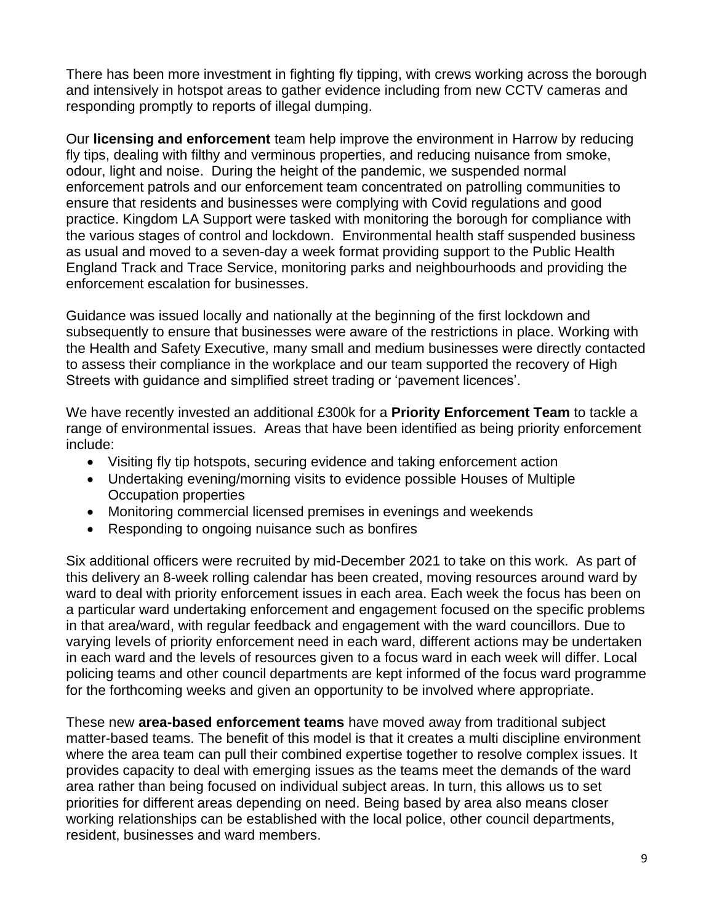There has been more investment in fighting fly tipping, with crews working across the borough and intensively in hotspot areas to gather evidence including from new CCTV cameras and responding promptly to reports of illegal dumping.

Our **licensing and enforcement** team help improve the environment in Harrow by reducing fly tips, dealing with filthy and verminous properties, and reducing nuisance from smoke, odour, light and noise. During the height of the pandemic, we suspended normal enforcement patrols and our enforcement team concentrated on patrolling communities to ensure that residents and businesses were complying with Covid regulations and good practice. Kingdom LA Support were tasked with monitoring the borough for compliance with the various stages of control and lockdown. Environmental health staff suspended business as usual and moved to a seven-day a week format providing support to the Public Health England Track and Trace Service, monitoring parks and neighbourhoods and providing the enforcement escalation for businesses.

Guidance was issued locally and nationally at the beginning of the first lockdown and subsequently to ensure that businesses were aware of the restrictions in place. Working with the Health and Safety Executive, many small and medium businesses were directly contacted to assess their compliance in the workplace and our team supported the recovery of High Streets with guidance and simplified street trading or 'pavement licences'.

We have recently invested an additional £300k for a **Priority Enforcement Team** to tackle a range of environmental issues. Areas that have been identified as being priority enforcement include:

- Visiting fly tip hotspots, securing evidence and taking enforcement action
- Undertaking evening/morning visits to evidence possible Houses of Multiple Occupation properties
- Monitoring commercial licensed premises in evenings and weekends
- Responding to ongoing nuisance such as bonfires

Six additional officers were recruited by mid-December 2021 to take on this work. As part of this delivery an 8-week rolling calendar has been created, moving resources around ward by ward to deal with priority enforcement issues in each area. Each week the focus has been on a particular ward undertaking enforcement and engagement focused on the specific problems in that area/ward, with regular feedback and engagement with the ward councillors. Due to varying levels of priority enforcement need in each ward, different actions may be undertaken in each ward and the levels of resources given to a focus ward in each week will differ. Local policing teams and other council departments are kept informed of the focus ward programme for the forthcoming weeks and given an opportunity to be involved where appropriate.

These new **area-based enforcement teams** have moved away from traditional subject matter-based teams. The benefit of this model is that it creates a multi discipline environment where the area team can pull their combined expertise together to resolve complex issues. It provides capacity to deal with emerging issues as the teams meet the demands of the ward area rather than being focused on individual subject areas. In turn, this allows us to set priorities for different areas depending on need. Being based by area also means closer working relationships can be established with the local police, other council departments, resident, businesses and ward members.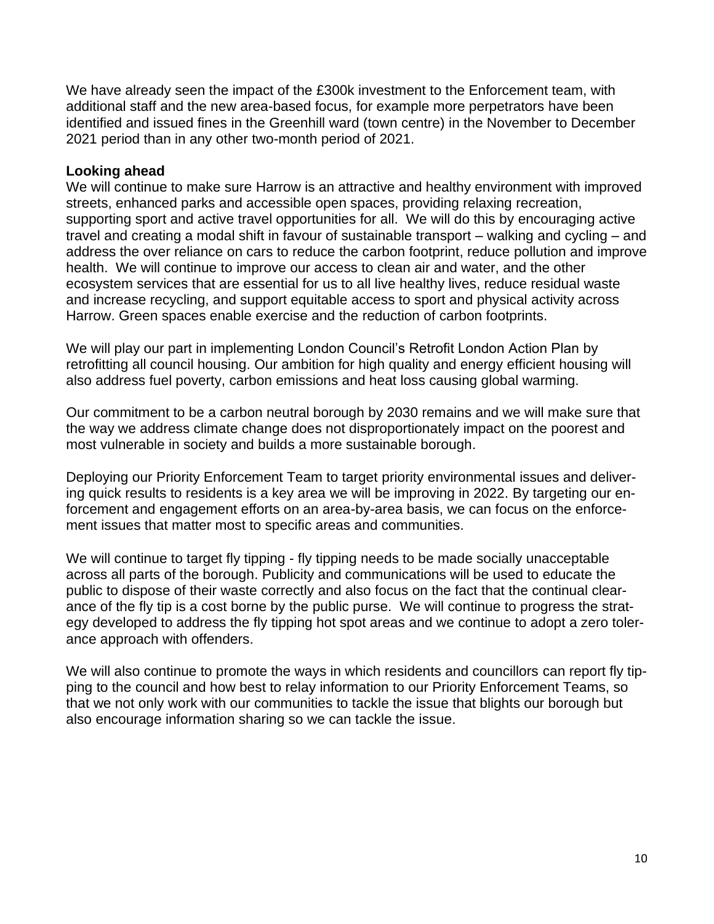We have already seen the impact of the £300k investment to the Enforcement team, with additional staff and the new area-based focus, for example more perpetrators have been identified and issued fines in the Greenhill ward (town centre) in the November to December 2021 period than in any other two-month period of 2021.

#### **Looking ahead**

We will continue to make sure Harrow is an attractive and healthy environment with improved streets, enhanced parks and accessible open spaces, providing relaxing recreation, supporting sport and active travel opportunities for all. We will do this by encouraging active travel and creating a modal shift in favour of sustainable transport – walking and cycling – and address the over reliance on cars to reduce the carbon footprint, reduce pollution and improve health. We will continue to improve our access to clean air and water, and the other ecosystem services that are essential for us to all live healthy lives, reduce residual waste and increase recycling, and support equitable access to sport and physical activity across Harrow. Green spaces enable exercise and the reduction of carbon footprints.

We will play our part in implementing London Council's Retrofit London Action Plan by retrofitting all council housing. Our ambition for high quality and energy efficient housing will also address fuel poverty, carbon emissions and heat loss causing global warming.

Our commitment to be a carbon neutral borough by 2030 remains and we will make sure that the way we address climate change does not disproportionately impact on the poorest and most vulnerable in society and builds a more sustainable borough.

Deploying our Priority Enforcement Team to target priority environmental issues and delivering quick results to residents is a key area we will be improving in 2022. By targeting our enforcement and engagement efforts on an area-by-area basis, we can focus on the enforcement issues that matter most to specific areas and communities.

We will continue to target fly tipping - fly tipping needs to be made socially unacceptable across all parts of the borough. Publicity and communications will be used to educate the public to dispose of their waste correctly and also focus on the fact that the continual clearance of the fly tip is a cost borne by the public purse. We will continue to progress the strategy developed to address the fly tipping hot spot areas and we continue to adopt a zero tolerance approach with offenders.

We will also continue to promote the ways in which residents and councillors can report fly tipping to the council and how best to relay information to our Priority Enforcement Teams, so that we not only work with our communities to tackle the issue that blights our borough but also encourage information sharing so we can tackle the issue.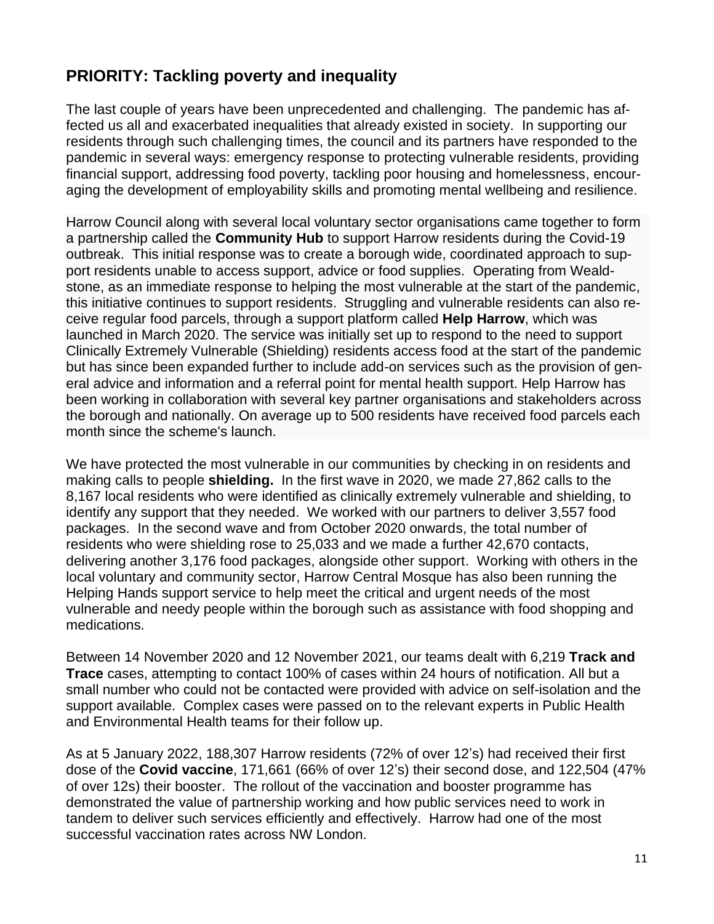## **PRIORITY: Tackling poverty and inequality**

The last couple of years have been unprecedented and challenging. The pandemic has affected us all and exacerbated inequalities that already existed in society. In supporting our residents through such challenging times, the council and its partners have responded to the pandemic in several ways: emergency response to protecting vulnerable residents, providing financial support, addressing food poverty, tackling poor housing and homelessness, encouraging the development of employability skills and promoting mental wellbeing and resilience.

Harrow Council along with several local voluntary sector organisations came together to form a partnership called the **Community Hub** to support Harrow residents during the Covid-19 outbreak. This initial response was to create a borough wide, coordinated approach to support residents unable to access support, advice or food supplies. Operating from Wealdstone, as an immediate response to helping the most vulnerable at the start of the pandemic, this initiative continues to support residents. Struggling and vulnerable residents can also receive regular food parcels, through a support platform called **Help Harrow**, which was launched in March 2020. The service was initially set up to respond to the need to support Clinically Extremely Vulnerable (Shielding) residents access food at the start of the pandemic but has since been expanded further to include add-on services such as the provision of general advice and information and a referral point for mental health support. Help Harrow has been working in collaboration with several key partner organisations and stakeholders across the borough and nationally. On average up to 500 residents have received food parcels each month since the scheme's launch.

We have protected the most vulnerable in our communities by checking in on residents and making calls to people **shielding.** In the first wave in 2020, we made 27,862 calls to the 8,167 local residents who were identified as clinically extremely vulnerable and shielding, to identify any support that they needed. We worked with our partners to deliver 3,557 food packages. In the second wave and from October 2020 onwards, the total number of residents who were shielding rose to 25,033 and we made a further 42,670 contacts, delivering another 3,176 food packages, alongside other support. Working with others in the local voluntary and community sector, Harrow Central Mosque has also been running the Helping Hands support service to help meet the critical and urgent needs of the most vulnerable and needy people within the borough such as assistance with food shopping and medications.

Between 14 November 2020 and 12 November 2021, our teams dealt with 6,219 **Track and Trace** cases, attempting to contact 100% of cases within 24 hours of notification. All but a small number who could not be contacted were provided with advice on self-isolation and the support available. Complex cases were passed on to the relevant experts in Public Health and Environmental Health teams for their follow up.

As at 5 January 2022, 188,307 Harrow residents (72% of over 12's) had received their first dose of the **Covid vaccine**, 171,661 (66% of over 12's) their second dose, and 122,504 (47% of over 12s) their booster. The rollout of the vaccination and booster programme has demonstrated the value of partnership working and how public services need to work in tandem to deliver such services efficiently and effectively. Harrow had one of the most successful vaccination rates across NW London.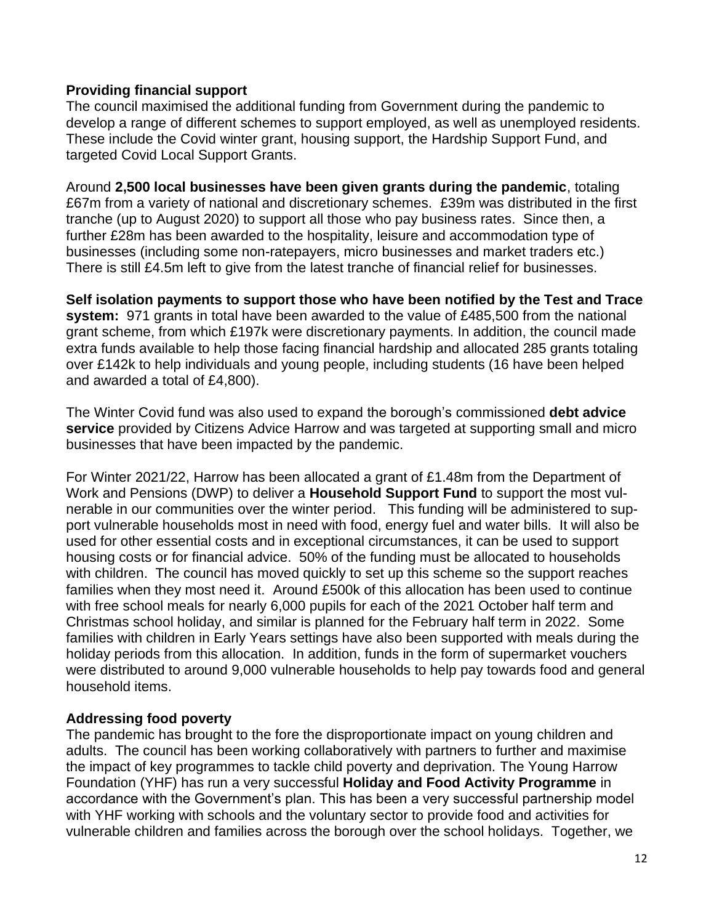#### **Providing financial support**

The council maximised the additional funding from Government during the pandemic to develop a range of different schemes to support employed, as well as unemployed residents. These include the Covid winter grant, housing support, the Hardship Support Fund, and targeted Covid Local Support Grants.

Around **2,500 local businesses have been given grants during the pandemic**, totaling £67m from a variety of national and discretionary schemes. £39m was distributed in the first tranche (up to August 2020) to support all those who pay business rates. Since then, a further £28m has been awarded to the hospitality, leisure and accommodation type of businesses (including some non-ratepayers, micro businesses and market traders etc.) There is still £4.5m left to give from the latest tranche of financial relief for businesses.

**Self isolation payments to support those who have been notified by the Test and Trace system:** 971 grants in total have been awarded to the value of £485,500 from the national grant scheme, from which £197k were discretionary payments. In addition, the council made extra funds available to help those facing financial hardship and allocated 285 grants totaling over £142k to help individuals and young people, including students (16 have been helped and awarded a total of £4,800).

The Winter Covid fund was also used to expand the borough's commissioned **debt advice service** provided by Citizens Advice Harrow and was targeted at supporting small and micro businesses that have been impacted by the pandemic.

For Winter 2021/22, Harrow has been allocated a grant of £1.48m from the Department of Work and Pensions (DWP) to deliver a **Household Support Fund** to support the most vulnerable in our communities over the winter period. This funding will be administered to support vulnerable households most in need with food, energy fuel and water bills. It will also be used for other essential costs and in exceptional circumstances, it can be used to support housing costs or for financial advice. 50% of the funding must be allocated to households with children. The council has moved quickly to set up this scheme so the support reaches families when they most need it. Around £500k of this allocation has been used to continue with free school meals for nearly 6,000 pupils for each of the 2021 October half term and Christmas school holiday, and similar is planned for the February half term in 2022. Some families with children in Early Years settings have also been supported with meals during the holiday periods from this allocation. In addition, funds in the form of supermarket vouchers were distributed to around 9,000 vulnerable households to help pay towards food and general household items.

#### **Addressing food poverty**

The pandemic has brought to the fore the disproportionate impact on young children and adults. The council has been working collaboratively with partners to further and maximise the impact of key programmes to tackle child poverty and deprivation. The Young Harrow Foundation (YHF) has run a very successful **Holiday and Food Activity Programme** in accordance with the Government's plan. This has been a very successful partnership model with YHF working with schools and the voluntary sector to provide food and activities for vulnerable children and families across the borough over the school holidays. Together, we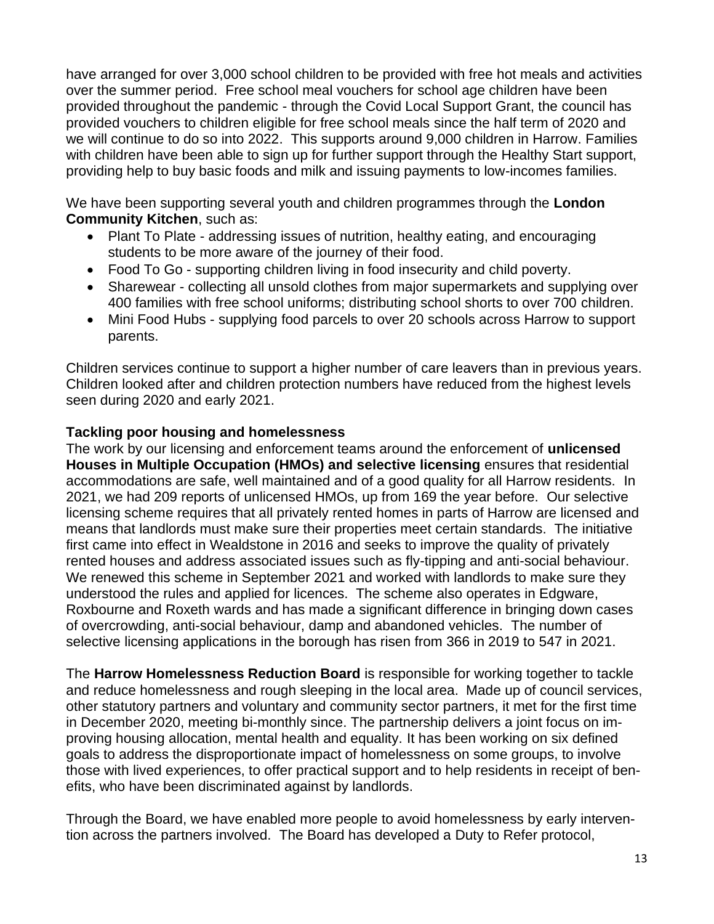have arranged for over 3,000 school children to be provided with free hot meals and activities over the summer period. Free school meal vouchers for school age children have been provided throughout the pandemic - through the Covid Local Support Grant, the council has provided vouchers to children eligible for free school meals since the half term of 2020 and we will continue to do so into 2022. This supports around 9,000 children in Harrow. Families with children have been able to sign up for further support through the Healthy Start support, providing help to buy basic foods and milk and issuing payments to low-incomes families.

We have been supporting several youth and children programmes through the **London Community Kitchen**, such as:

- Plant To Plate addressing issues of nutrition, healthy eating, and encouraging students to be more aware of the journey of their food.
- Food To Go supporting children living in food insecurity and child poverty.
- Sharewear collecting all unsold clothes from major supermarkets and supplying over 400 families with free school uniforms; distributing school shorts to over 700 children.
- Mini Food Hubs supplying food parcels to over 20 schools across Harrow to support parents.

Children services continue to support a higher number of care leavers than in previous years. Children looked after and children protection numbers have reduced from the highest levels seen during 2020 and early 2021.

#### **Tackling poor housing and homelessness**

The work by our licensing and enforcement teams around the enforcement of **unlicensed Houses in Multiple Occupation (HMOs) and selective licensing** ensures that residential accommodations are safe, well maintained and of a good quality for all Harrow residents. In 2021, we had 209 reports of unlicensed HMOs, up from 169 the year before. Our selective licensing scheme requires that all privately rented homes in parts of Harrow are licensed and means that landlords must make sure their properties meet certain standards. The initiative first came into effect in Wealdstone in 2016 and seeks to improve the quality of privately rented houses and address associated issues such as fly-tipping and anti-social behaviour. We renewed this scheme in September 2021 and worked with landlords to make sure they understood the rules and applied for licences. The scheme also operates in Edgware, Roxbourne and Roxeth wards and has made a significant difference in bringing down cases of overcrowding, anti-social behaviour, damp and abandoned vehicles. The number of selective licensing applications in the borough has risen from 366 in 2019 to 547 in 2021.

The **Harrow Homelessness Reduction Board** is responsible for working together to tackle and reduce homelessness and rough sleeping in the local area. Made up of council services, other statutory partners and voluntary and community sector partners, it met for the first time in December 2020, meeting bi-monthly since. The partnership delivers a joint focus on improving housing allocation, mental health and equality. It has been working on six defined goals to address the disproportionate impact of homelessness on some groups, to involve those with lived experiences, to offer practical support and to help residents in receipt of benefits, who have been discriminated against by landlords.

Through the Board, we have enabled more people to avoid homelessness by early intervention across the partners involved. The Board has developed a Duty to Refer protocol,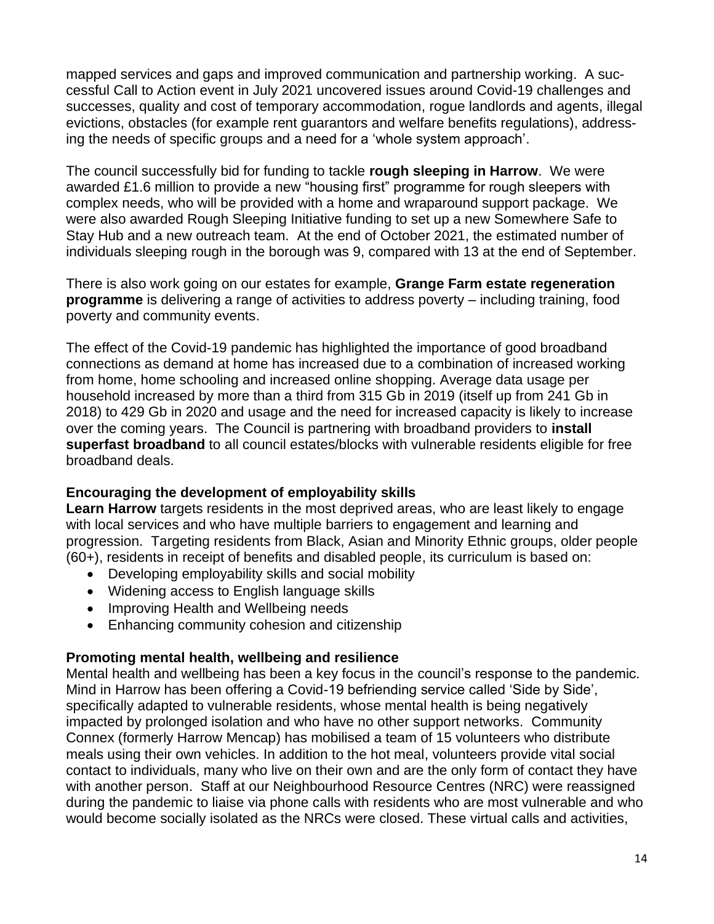mapped services and gaps and improved communication and partnership working. A successful Call to Action event in July 2021 uncovered issues around Covid-19 challenges and successes, quality and cost of temporary accommodation, rogue landlords and agents, illegal evictions, obstacles (for example rent guarantors and welfare benefits regulations), addressing the needs of specific groups and a need for a 'whole system approach'.

The council successfully bid for funding to tackle **rough sleeping in Harrow**. We were awarded £1.6 million to provide a new "housing first" programme for rough sleepers with complex needs, who will be provided with a home and wraparound support package. We were also awarded Rough Sleeping Initiative funding to set up a new Somewhere Safe to Stay Hub and a new outreach team. At the end of October 2021, the estimated number of individuals sleeping rough in the borough was 9, compared with 13 at the end of September.

There is also work going on our estates for example, **Grange Farm estate regeneration programme** is delivering a range of activities to address poverty – including training, food poverty and community events.

The effect of the Covid-19 pandemic has highlighted the importance of good broadband connections as demand at home has increased due to a combination of increased working from home, home schooling and increased online shopping. Average data usage per household increased by more than a third from 315 Gb in 2019 (itself up from 241 Gb in 2018) to 429 Gb in 2020 and usage and the need for increased capacity is likely to increase over the coming years. The Council is partnering with broadband providers to **install superfast broadband** to all council estates/blocks with vulnerable residents eligible for free broadband deals.

#### **Encouraging the development of employability skills**

**Learn Harrow** targets residents in the most deprived areas, who are least likely to engage with local services and who have multiple barriers to engagement and learning and progression. Targeting residents from Black, Asian and Minority Ethnic groups, older people (60+), residents in receipt of benefits and disabled people, its curriculum is based on:

- Developing employability skills and social mobility
- Widening access to English language skills
- Improving Health and Wellbeing needs
- Enhancing community cohesion and citizenship

#### **Promoting mental health, wellbeing and resilience**

Mental health and wellbeing has been a key focus in the council's response to the pandemic. Mind in Harrow has been offering a Covid-19 befriending service called 'Side by Side', specifically adapted to vulnerable residents, whose mental health is being negatively impacted by prolonged isolation and who have no other support networks. Community Connex (formerly Harrow Mencap) has mobilised a team of 15 volunteers who distribute meals using their own vehicles. In addition to the hot meal, volunteers provide vital social contact to individuals, many who live on their own and are the only form of contact they have with another person. Staff at our Neighbourhood Resource Centres (NRC) were reassigned during the pandemic to liaise via phone calls with residents who are most vulnerable and who would become socially isolated as the NRCs were closed. These virtual calls and activities,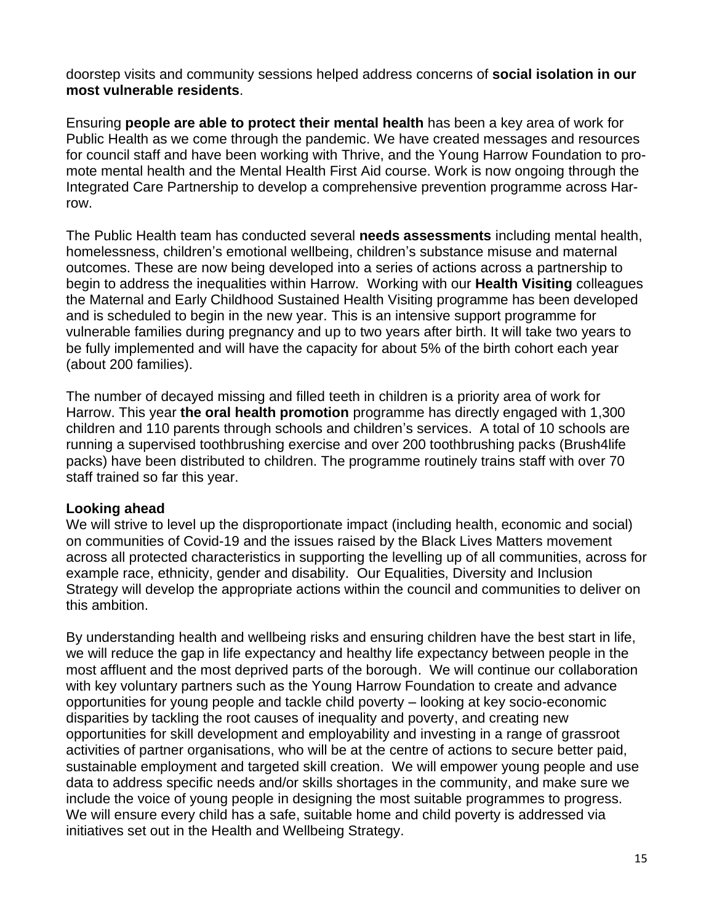doorstep visits and community sessions helped address concerns of **social isolation in our most vulnerable residents**.

Ensuring **people are able to protect their mental health** has been a key area of work for Public Health as we come through the pandemic. We have created messages and resources for council staff and have been working with Thrive, and the Young Harrow Foundation to promote mental health and the Mental Health First Aid course. Work is now ongoing through the Integrated Care Partnership to develop a comprehensive prevention programme across Harrow.

The Public Health team has conducted several **needs assessments** including mental health, homelessness, children's emotional wellbeing, children's substance misuse and maternal outcomes. These are now being developed into a series of actions across a partnership to begin to address the inequalities within Harrow. Working with our **Health Visiting** colleagues the Maternal and Early Childhood Sustained Health Visiting programme has been developed and is scheduled to begin in the new year. This is an intensive support programme for vulnerable families during pregnancy and up to two years after birth. It will take two years to be fully implemented and will have the capacity for about 5% of the birth cohort each year (about 200 families).

The number of decayed missing and filled teeth in children is a priority area of work for Harrow. This year **the oral health promotion** programme has directly engaged with 1,300 children and 110 parents through schools and children's services. A total of 10 schools are running a supervised toothbrushing exercise and over 200 toothbrushing packs (Brush4life packs) have been distributed to children. The programme routinely trains staff with over 70 staff trained so far this year.

#### **Looking ahead**

We will strive to level up the disproportionate impact (including health, economic and social) on communities of Covid-19 and the issues raised by the Black Lives Matters movement across all protected characteristics in supporting the levelling up of all communities, across for example race, ethnicity, gender and disability. Our Equalities, Diversity and Inclusion Strategy will develop the appropriate actions within the council and communities to deliver on this ambition.

By understanding health and wellbeing risks and ensuring children have the best start in life, we will reduce the gap in life expectancy and healthy life expectancy between people in the most affluent and the most deprived parts of the borough. We will continue our collaboration with key voluntary partners such as the Young Harrow Foundation to create and advance opportunities for young people and tackle child poverty – looking at key socio-economic disparities by tackling the root causes of inequality and poverty, and creating new opportunities for skill development and employability and investing in a range of grassroot activities of partner organisations, who will be at the centre of actions to secure better paid, sustainable employment and targeted skill creation. We will empower young people and use data to address specific needs and/or skills shortages in the community, and make sure we include the voice of young people in designing the most suitable programmes to progress. We will ensure every child has a safe, suitable home and child poverty is addressed via initiatives set out in the Health and Wellbeing Strategy.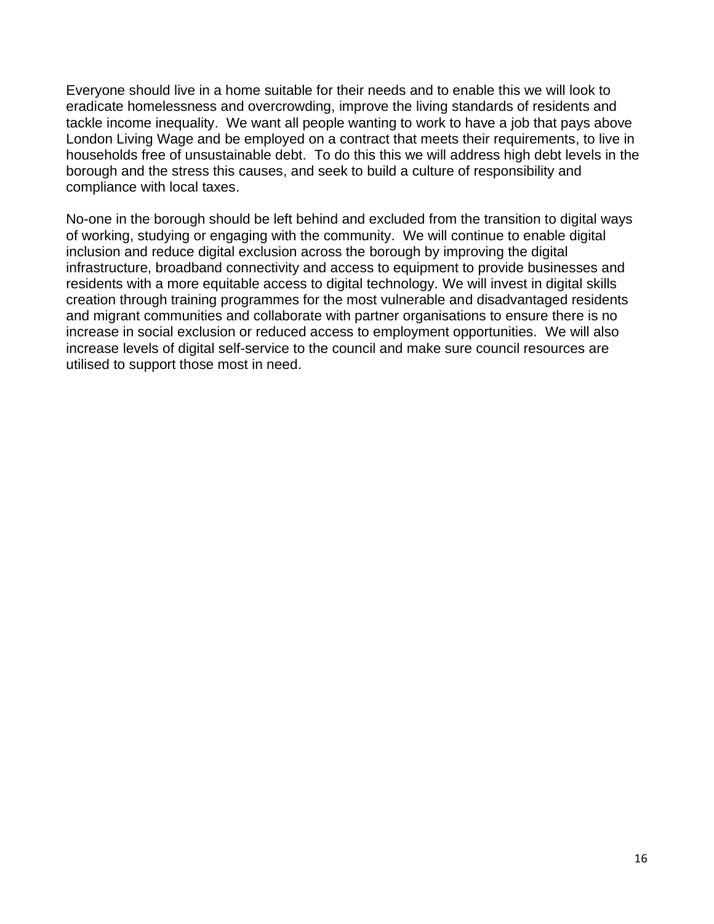Everyone should live in a home suitable for their needs and to enable this we will look to eradicate homelessness and overcrowding, improve the living standards of residents and tackle income inequality. We want all people wanting to work to have a job that pays above London Living Wage and be employed on a contract that meets their requirements, to live in households free of unsustainable debt. To do this this we will address high debt levels in the borough and the stress this causes, and seek to build a culture of responsibility and compliance with local taxes.

No-one in the borough should be left behind and excluded from the transition to digital ways of working, studying or engaging with the community. We will continue to enable digital inclusion and reduce digital exclusion across the borough by improving the digital infrastructure, broadband connectivity and access to equipment to provide businesses and residents with a more equitable access to digital technology. We will invest in digital skills creation through training programmes for the most vulnerable and disadvantaged residents and migrant communities and collaborate with partner organisations to ensure there is no increase in social exclusion or reduced access to employment opportunities. We will also increase levels of digital self-service to the council and make sure council resources are utilised to support those most in need.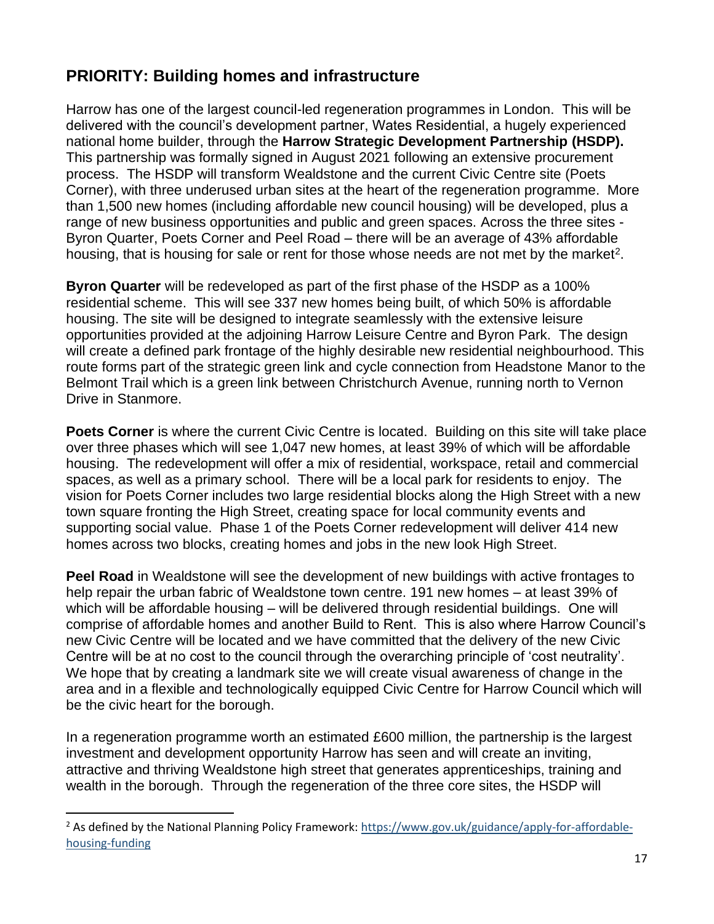## **PRIORITY: Building homes and infrastructure**

Harrow has one of the largest council-led regeneration programmes in London. This will be delivered with the council's development partner, Wates Residential, a hugely experienced national home builder, through the **Harrow Strategic Development Partnership (HSDP).**  This partnership was formally signed in August 2021 following an extensive procurement process. The HSDP will transform Wealdstone and the current Civic Centre site (Poets Corner), with three underused urban sites at the heart of the regeneration programme. More than 1,500 new homes (including affordable new council housing) will be developed, plus a range of new business opportunities and public and green spaces. Across the three sites - Byron Quarter, Poets Corner and Peel Road – there will be an average of 43% affordable housing, that is housing for sale or rent for those whose needs are not met by the market<sup>2</sup>.

**Byron Quarter** will be redeveloped as part of the first phase of the HSDP as a 100% residential scheme. This will see 337 new homes being built, of which 50% is affordable housing. The site will be designed to integrate seamlessly with the extensive leisure opportunities provided at the adjoining Harrow Leisure Centre and Byron Park. The design will create a defined park frontage of the highly desirable new residential neighbourhood. This route forms part of the strategic green link and cycle connection from Headstone Manor to the Belmont Trail which is a green link between Christchurch Avenue, running north to Vernon Drive in Stanmore.

**Poets Corner** is where the current Civic Centre is located. Building on this site will take place over three phases which will see 1,047 new homes, at least 39% of which will be affordable housing. The redevelopment will offer a mix of residential, workspace, retail and commercial spaces, as well as a primary school. There will be a local park for residents to enjoy. The vision for Poets Corner includes two large residential blocks along the High Street with a new town square fronting the High Street, creating space for local community events and supporting social value. Phase 1 of the Poets Corner redevelopment will deliver 414 new homes across two blocks, creating homes and jobs in the new look High Street.

**Peel Road** in Wealdstone will see the development of new buildings with active frontages to help repair the urban fabric of Wealdstone town centre. 191 new homes – at least 39% of which will be affordable housing – will be delivered through residential buildings. One will comprise of affordable homes and another Build to Rent. This is also where Harrow Council's new Civic Centre will be located and we have committed that the delivery of the new Civic Centre will be at no cost to the council through the overarching principle of 'cost neutrality'. We hope that by creating a landmark site we will create visual awareness of change in the area and in a flexible and technologically equipped Civic Centre for Harrow Council which will be the civic heart for the borough.

In a regeneration programme worth an estimated £600 million, the partnership is the largest investment and development opportunity Harrow has seen and will create an inviting, attractive and thriving Wealdstone high street that generates apprenticeships, training and wealth in the borough. Through the regeneration of the three core sites, the HSDP will

<sup>&</sup>lt;sup>2</sup> As defined by the National Planning Policy Framework[: https://www.gov.uk/guidance/apply-for-affordable](https://www.gov.uk/guidance/apply-for-affordable-housing-funding)[housing-funding](https://www.gov.uk/guidance/apply-for-affordable-housing-funding)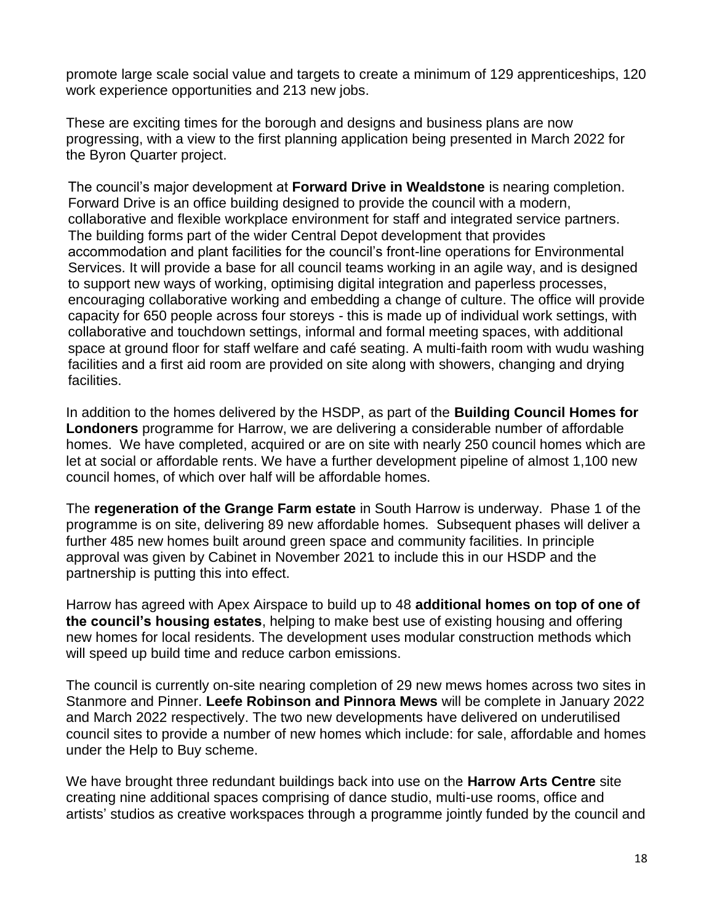promote large scale social value and targets to create a minimum of 129 apprenticeships, 120 work experience opportunities and 213 new jobs.

These are exciting times for the borough and designs and business plans are now progressing, with a view to the first planning application being presented in March 2022 for the Byron Quarter project.

The council's major development at **Forward Drive in Wealdstone** is nearing completion. Forward Drive is an office building designed to provide the council with a modern, collaborative and flexible workplace environment for staff and integrated service partners. The building forms part of the wider Central Depot development that provides accommodation and plant facilities for the council's front-line operations for Environmental Services. It will provide a base for all council teams working in an agile way, and is designed to support new ways of working, optimising digital integration and paperless processes, encouraging collaborative working and embedding a change of culture. The office will provide capacity for 650 people across four storeys - this is made up of individual work settings, with collaborative and touchdown settings, informal and formal meeting spaces, with additional space at ground floor for staff welfare and café seating. A multi-faith room with wudu washing facilities and a first aid room are provided on site along with showers, changing and drying facilities.

In addition to the homes delivered by the HSDP, as part of the **Building Council Homes for Londoners** programme for Harrow, we are delivering a considerable number of affordable homes. We have completed, acquired or are on site with nearly 250 council homes which are let at social or affordable rents. We have a further development pipeline of almost 1,100 new council homes, of which over half will be affordable homes.

The **regeneration of the Grange Farm estate** in South Harrow is underway. Phase 1 of the programme is on site, delivering 89 new affordable homes. Subsequent phases will deliver a further 485 new homes built around green space and community facilities. In principle approval was given by Cabinet in November 2021 to include this in our HSDP and the partnership is putting this into effect.

Harrow has agreed with Apex Airspace to build up to 48 **additional homes on top of one of the council's housing estates**, helping to make best use of existing housing and offering new homes for local residents. The development uses modular construction methods which will speed up build time and reduce carbon emissions.

The council is currently on-site nearing completion of 29 new mews homes across two sites in Stanmore and Pinner. **Leefe Robinson and Pinnora Mews** will be complete in January 2022 and March 2022 respectively. The two new developments have delivered on underutilised council sites to provide a number of new homes which include: for sale, affordable and homes under the Help to Buy scheme.

We have brought three redundant buildings back into use on the **Harrow Arts Centre** site creating nine additional spaces comprising of dance studio, multi-use rooms, office and artists' studios as creative workspaces through a programme jointly funded by the council and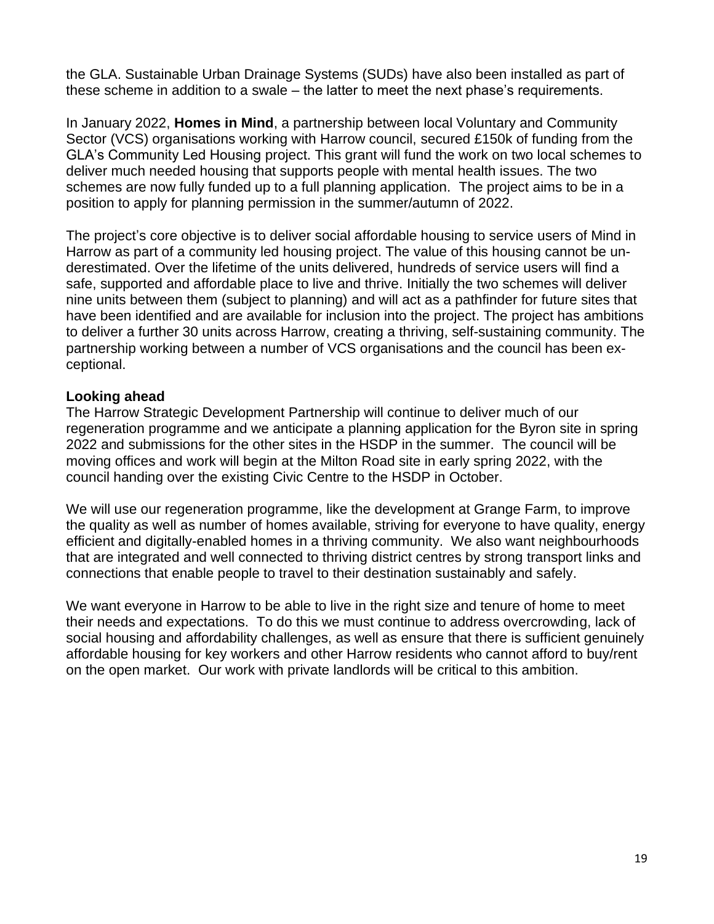the GLA. Sustainable Urban Drainage Systems (SUDs) have also been installed as part of these scheme in addition to a swale – the latter to meet the next phase's requirements.

In January 2022, **Homes in Mind**, a partnership between local Voluntary and Community Sector (VCS) organisations working with Harrow council, secured £150k of funding from the GLA's Community Led Housing project. This grant will fund the work on two local schemes to deliver much needed housing that supports people with mental health issues. The two schemes are now fully funded up to a full planning application. The project aims to be in a position to apply for planning permission in the summer/autumn of 2022.

The project's core objective is to deliver social affordable housing to service users of Mind in Harrow as part of a community led housing project. The value of this housing cannot be underestimated. Over the lifetime of the units delivered, hundreds of service users will find a safe, supported and affordable place to live and thrive. Initially the two schemes will deliver nine units between them (subject to planning) and will act as a pathfinder for future sites that have been identified and are available for inclusion into the project. The project has ambitions to deliver a further 30 units across Harrow, creating a thriving, self-sustaining community. The partnership working between a number of VCS organisations and the council has been exceptional.

#### **Looking ahead**

The Harrow Strategic Development Partnership will continue to deliver much of our regeneration programme and we anticipate a planning application for the Byron site in spring 2022 and submissions for the other sites in the HSDP in the summer. The council will be moving offices and work will begin at the Milton Road site in early spring 2022, with the council handing over the existing Civic Centre to the HSDP in October.

We will use our regeneration programme, like the development at Grange Farm, to improve the quality as well as number of homes available, striving for everyone to have quality, energy efficient and digitally-enabled homes in a thriving community. We also want neighbourhoods that are integrated and well connected to thriving district centres by strong transport links and connections that enable people to travel to their destination sustainably and safely.

We want everyone in Harrow to be able to live in the right size and tenure of home to meet their needs and expectations. To do this we must continue to address overcrowding, lack of social housing and affordability challenges, as well as ensure that there is sufficient genuinely affordable housing for key workers and other Harrow residents who cannot afford to buy/rent on the open market. Our work with private landlords will be critical to this ambition.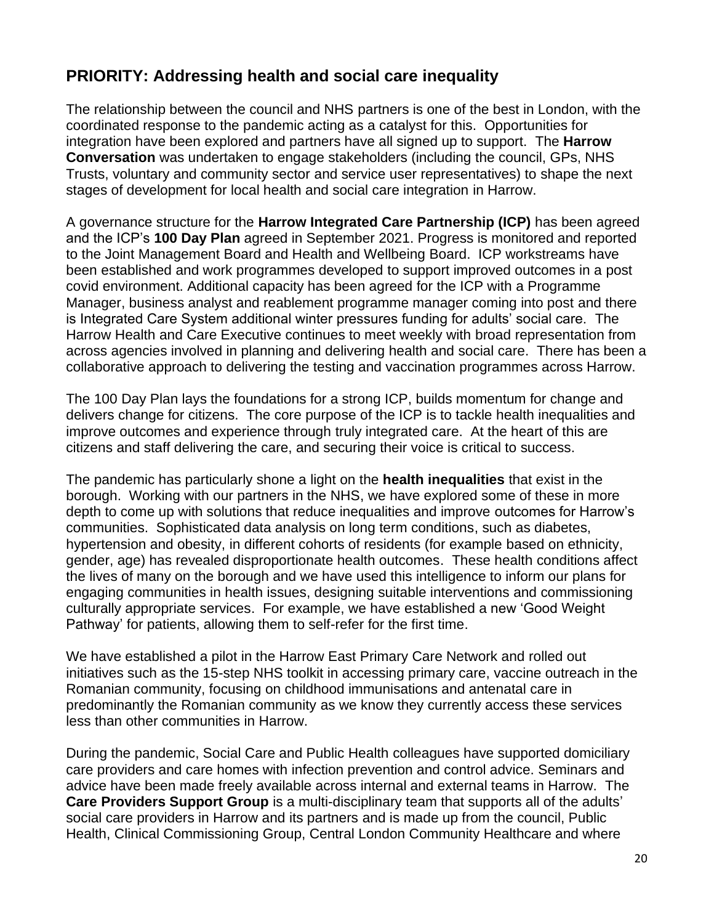## **PRIORITY: Addressing health and social care inequality**

The relationship between the council and NHS partners is one of the best in London, with the coordinated response to the pandemic acting as a catalyst for this. Opportunities for integration have been explored and partners have all signed up to support. The **Harrow Conversation** was undertaken to engage stakeholders (including the council, GPs, NHS Trusts, voluntary and community sector and service user representatives) to shape the next stages of development for local health and social care integration in Harrow.

A governance structure for the **Harrow Integrated Care Partnership (ICP)** has been agreed and the ICP's **100 Day Plan** agreed in September 2021. Progress is monitored and reported to the Joint Management Board and Health and Wellbeing Board. ICP workstreams have been established and work programmes developed to support improved outcomes in a post covid environment. Additional capacity has been agreed for the ICP with a Programme Manager, business analyst and reablement programme manager coming into post and there is Integrated Care System additional winter pressures funding for adults' social care. The Harrow Health and Care Executive continues to meet weekly with broad representation from across agencies involved in planning and delivering health and social care. There has been a collaborative approach to delivering the testing and vaccination programmes across Harrow.

The 100 Day Plan lays the foundations for a strong ICP, builds momentum for change and delivers change for citizens. The core purpose of the ICP is to tackle health inequalities and improve outcomes and experience through truly integrated care. At the heart of this are citizens and staff delivering the care, and securing their voice is critical to success.

The pandemic has particularly shone a light on the **health inequalities** that exist in the borough. Working with our partners in the NHS, we have explored some of these in more depth to come up with solutions that reduce inequalities and improve outcomes for Harrow's communities. Sophisticated data analysis on long term conditions, such as diabetes, hypertension and obesity, in different cohorts of residents (for example based on ethnicity, gender, age) has revealed disproportionate health outcomes. These health conditions affect the lives of many on the borough and we have used this intelligence to inform our plans for engaging communities in health issues, designing suitable interventions and commissioning culturally appropriate services. For example, we have established a new 'Good Weight Pathway' for patients, allowing them to self-refer for the first time.

We have established a pilot in the Harrow East Primary Care Network and rolled out initiatives such as the 15-step NHS toolkit in accessing primary care, vaccine outreach in the Romanian community, focusing on childhood immunisations and antenatal care in predominantly the Romanian community as we know they currently access these services less than other communities in Harrow.

During the pandemic, Social Care and Public Health colleagues have supported domiciliary care providers and care homes with infection prevention and control advice. Seminars and advice have been made freely available across internal and external teams in Harrow. The **Care Providers Support Group** is a multi-disciplinary team that supports all of the adults' social care providers in Harrow and its partners and is made up from the council, Public Health, Clinical Commissioning Group, Central London Community Healthcare and where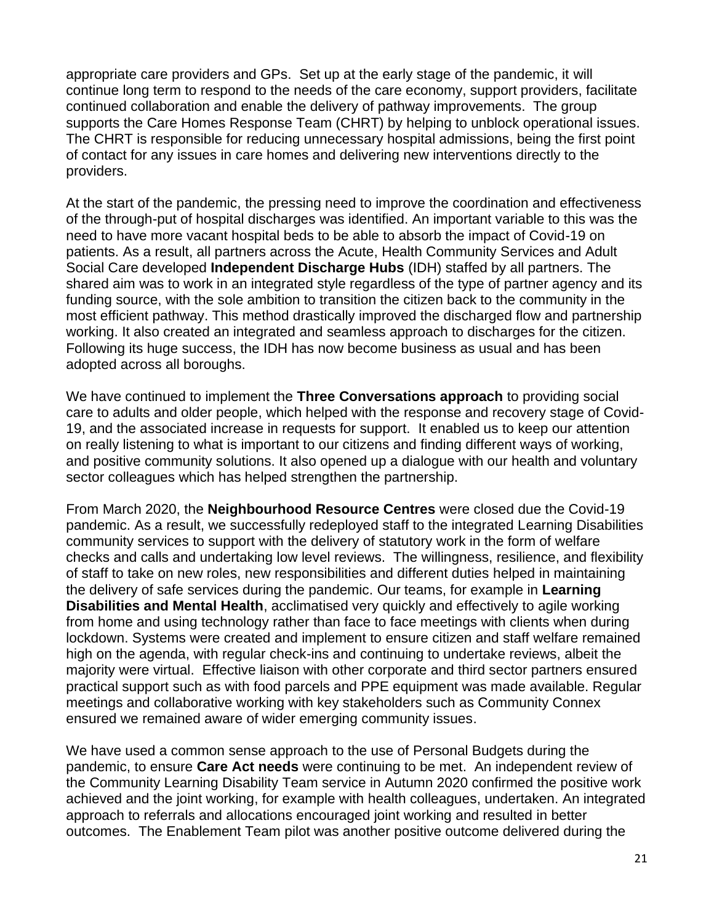appropriate care providers and GPs. Set up at the early stage of the pandemic, it will continue long term to respond to the needs of the care economy, support providers, facilitate continued collaboration and enable the delivery of pathway improvements. The group supports the Care Homes Response Team (CHRT) by helping to unblock operational issues. The CHRT is responsible for reducing unnecessary hospital admissions, being the first point of contact for any issues in care homes and delivering new interventions directly to the providers.

At the start of the pandemic, the pressing need to improve the coordination and effectiveness of the through-put of hospital discharges was identified. An important variable to this was the need to have more vacant hospital beds to be able to absorb the impact of Covid-19 on patients. As a result, all partners across the Acute, Health Community Services and Adult Social Care developed **Independent Discharge Hubs** (IDH) staffed by all partners. The shared aim was to work in an integrated style regardless of the type of partner agency and its funding source, with the sole ambition to transition the citizen back to the community in the most efficient pathway. This method drastically improved the discharged flow and partnership working. It also created an integrated and seamless approach to discharges for the citizen. Following its huge success, the IDH has now become business as usual and has been adopted across all boroughs.

We have continued to implement the **Three Conversations approach** to providing social care to adults and older people, which helped with the response and recovery stage of Covid-19, and the associated increase in requests for support. It enabled us to keep our attention on really listening to what is important to our citizens and finding different ways of working, and positive community solutions. It also opened up a dialogue with our health and voluntary sector colleagues which has helped strengthen the partnership.

From March 2020, the **Neighbourhood Resource Centres** were closed due the Covid-19 pandemic. As a result, we successfully redeployed staff to the integrated Learning Disabilities community services to support with the delivery of statutory work in the form of welfare checks and calls and undertaking low level reviews. The willingness, resilience, and flexibility of staff to take on new roles, new responsibilities and different duties helped in maintaining the delivery of safe services during the pandemic. Our teams, for example in **Learning Disabilities and Mental Health**, acclimatised very quickly and effectively to agile working from home and using technology rather than face to face meetings with clients when during lockdown. Systems were created and implement to ensure citizen and staff welfare remained high on the agenda, with regular check-ins and continuing to undertake reviews, albeit the majority were virtual. Effective liaison with other corporate and third sector partners ensured practical support such as with food parcels and PPE equipment was made available. Regular meetings and collaborative working with key stakeholders such as Community Connex ensured we remained aware of wider emerging community issues.

We have used a common sense approach to the use of Personal Budgets during the pandemic, to ensure **Care Act needs** were continuing to be met. An independent review of the Community Learning Disability Team service in Autumn 2020 confirmed the positive work achieved and the joint working, for example with health colleagues, undertaken. An integrated approach to referrals and allocations encouraged joint working and resulted in better outcomes. The Enablement Team pilot was another positive outcome delivered during the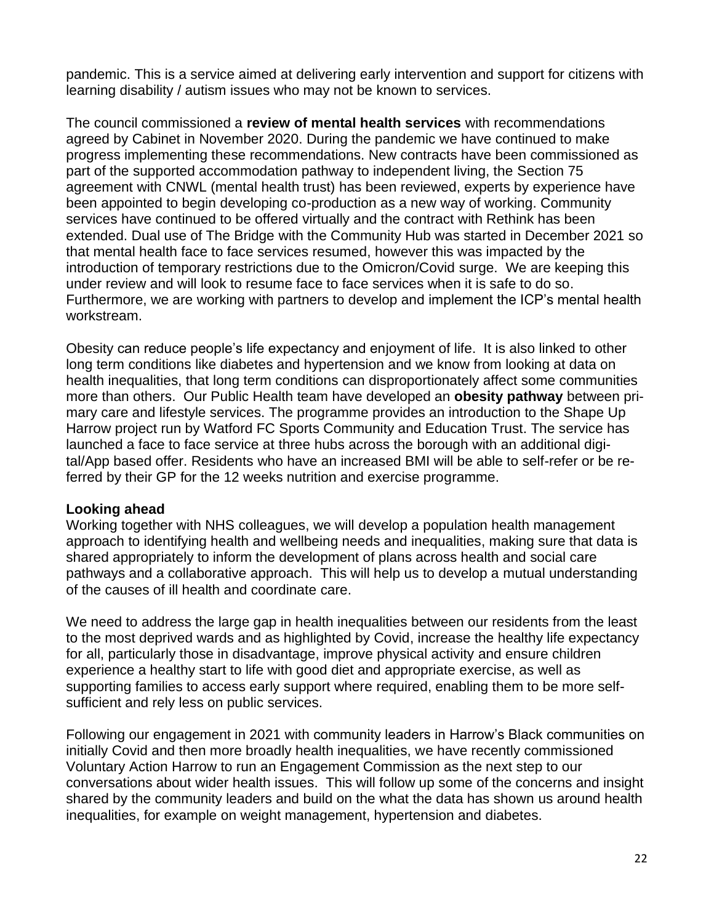pandemic. This is a service aimed at delivering early intervention and support for citizens with learning disability / autism issues who may not be known to services.

The council commissioned a **review of mental health services** with recommendations agreed by Cabinet in November 2020. During the pandemic we have continued to make progress implementing these recommendations. New contracts have been commissioned as part of the supported accommodation pathway to independent living, the Section 75 agreement with CNWL (mental health trust) has been reviewed, experts by experience have been appointed to begin developing co-production as a new way of working. Community services have continued to be offered virtually and the contract with Rethink has been extended. Dual use of The Bridge with the Community Hub was started in December 2021 so that mental health face to face services resumed, however this was impacted by the introduction of temporary restrictions due to the Omicron/Covid surge. We are keeping this under review and will look to resume face to face services when it is safe to do so. Furthermore, we are working with partners to develop and implement the ICP's mental health workstream.

Obesity can reduce people's life expectancy and enjoyment of life. It is also linked to other long term conditions like diabetes and hypertension and we know from looking at data on health inequalities, that long term conditions can disproportionately affect some communities more than others. Our Public Health team have developed an **obesity pathway** between primary care and lifestyle services. The programme provides an introduction to the Shape Up Harrow project run by Watford FC Sports Community and Education Trust. The service has launched a face to face service at three hubs across the borough with an additional digital/App based offer. Residents who have an increased BMI will be able to self-refer or be referred by their GP for the 12 weeks nutrition and exercise programme.

#### **Looking ahead**

Working together with NHS colleagues, we will develop a population health management approach to identifying health and wellbeing needs and inequalities, making sure that data is shared appropriately to inform the development of plans across health and social care pathways and a collaborative approach. This will help us to develop a mutual understanding of the causes of ill health and coordinate care.

We need to address the large gap in health inequalities between our residents from the least to the most deprived wards and as highlighted by Covid, increase the healthy life expectancy for all, particularly those in disadvantage, improve physical activity and ensure children experience a healthy start to life with good diet and appropriate exercise, as well as supporting families to access early support where required, enabling them to be more selfsufficient and rely less on public services.

Following our engagement in 2021 with community leaders in Harrow's Black communities on initially Covid and then more broadly health inequalities, we have recently commissioned Voluntary Action Harrow to run an Engagement Commission as the next step to our conversations about wider health issues. This will follow up some of the concerns and insight shared by the community leaders and build on the what the data has shown us around health inequalities, for example on weight management, hypertension and diabetes.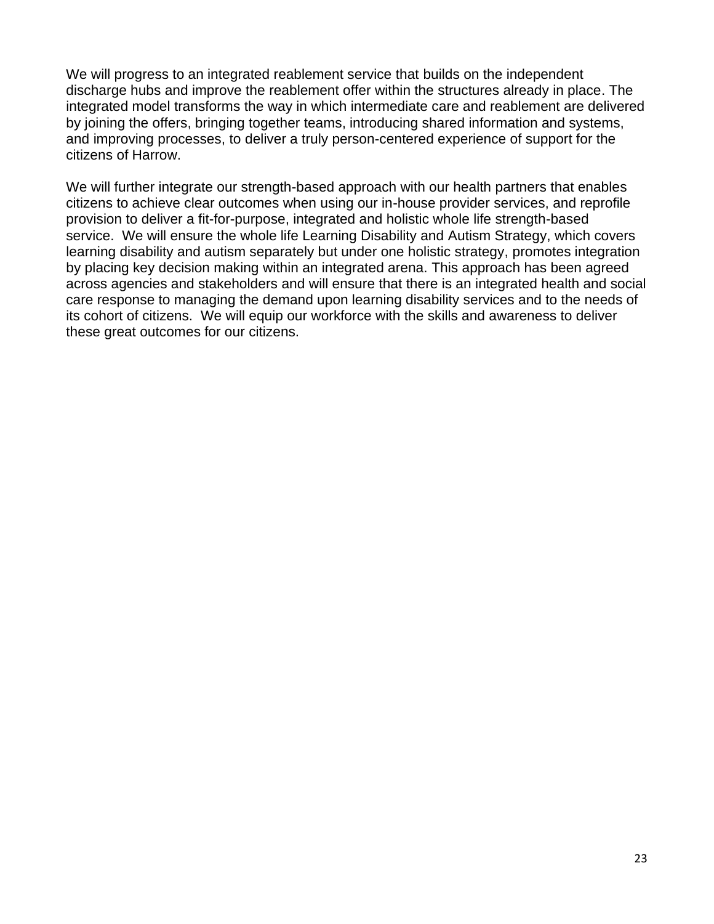We will progress to an integrated reablement service that builds on the independent discharge hubs and improve the reablement offer within the structures already in place. The integrated model transforms the way in which intermediate care and reablement are delivered by joining the offers, bringing together teams, introducing shared information and systems, and improving processes, to deliver a truly person-centered experience of support for the citizens of Harrow.

We will further integrate our strength-based approach with our health partners that enables citizens to achieve clear outcomes when using our in-house provider services, and reprofile provision to deliver a fit-for-purpose, integrated and holistic whole life strength-based service. We will ensure the whole life Learning Disability and Autism Strategy, which covers learning disability and autism separately but under one holistic strategy, promotes integration by placing key decision making within an integrated arena. This approach has been agreed across agencies and stakeholders and will ensure that there is an integrated health and social care response to managing the demand upon learning disability services and to the needs of its cohort of citizens. We will equip our workforce with the skills and awareness to deliver these great outcomes for our citizens.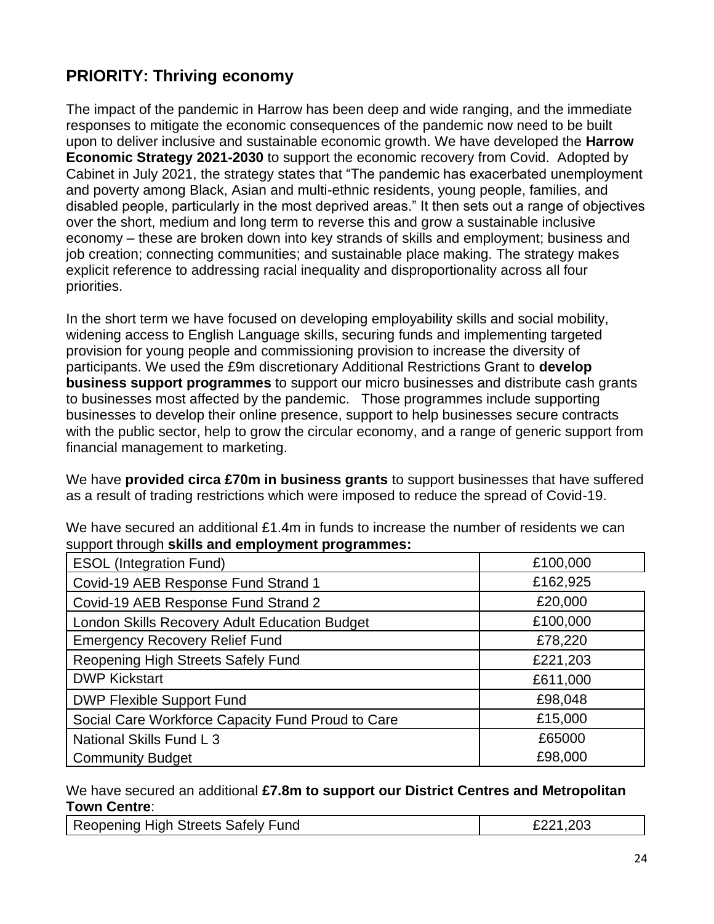## **PRIORITY: Thriving economy**

The impact of the pandemic in Harrow has been deep and wide ranging, and the immediate responses to mitigate the economic consequences of the pandemic now need to be built upon to deliver inclusive and sustainable economic growth. We have developed the **Harrow Economic Strategy 2021-2030** to support the economic recovery from Covid. Adopted by Cabinet in July 2021, the strategy states that "The pandemic has exacerbated unemployment and poverty among Black, Asian and multi-ethnic residents, young people, families, and disabled people, particularly in the most deprived areas." It then sets out a range of objectives over the short, medium and long term to reverse this and grow a sustainable inclusive economy – these are broken down into key strands of skills and employment; business and job creation; connecting communities; and sustainable place making. The strategy makes explicit reference to addressing racial inequality and disproportionality across all four priorities.

In the short term we have focused on developing employability skills and social mobility, widening access to English Language skills, securing funds and implementing targeted provision for young people and commissioning provision to increase the diversity of participants. We used the £9m discretionary Additional Restrictions Grant to **develop business support programmes** to support our micro businesses and distribute cash grants to businesses most affected by the pandemic. Those programmes include supporting businesses to develop their online presence, support to help businesses secure contracts with the public sector, help to grow the circular economy, and a range of generic support from financial management to marketing.

We have **provided circa £70m in business grants** to support businesses that have suffered as a result of trading restrictions which were imposed to reduce the spread of Covid-19.

| <b>ESOL (Integration Fund)</b>                    | £100,000 |
|---------------------------------------------------|----------|
| Covid-19 AEB Response Fund Strand 1               | £162,925 |
| Covid-19 AEB Response Fund Strand 2               | £20,000  |
| London Skills Recovery Adult Education Budget     | £100,000 |
| <b>Emergency Recovery Relief Fund</b>             | £78,220  |
| Reopening High Streets Safely Fund                | £221,203 |
| <b>DWP Kickstart</b>                              | £611,000 |
| <b>DWP Flexible Support Fund</b>                  | £98,048  |
| Social Care Workforce Capacity Fund Proud to Care | £15,000  |
| National Skills Fund L 3                          | £65000   |
| <b>Community Budget</b>                           | £98,000  |

We have secured an additional £1.4m in funds to increase the number of residents we can support through **skills and employment programmes:**

We have secured an additional **£7.8m to support our District Centres and Metropolitan Town Centre**:

| Reopening High Streets Safely Fund<br>1.203<br>∩∩⊿ |
|----------------------------------------------------|
|----------------------------------------------------|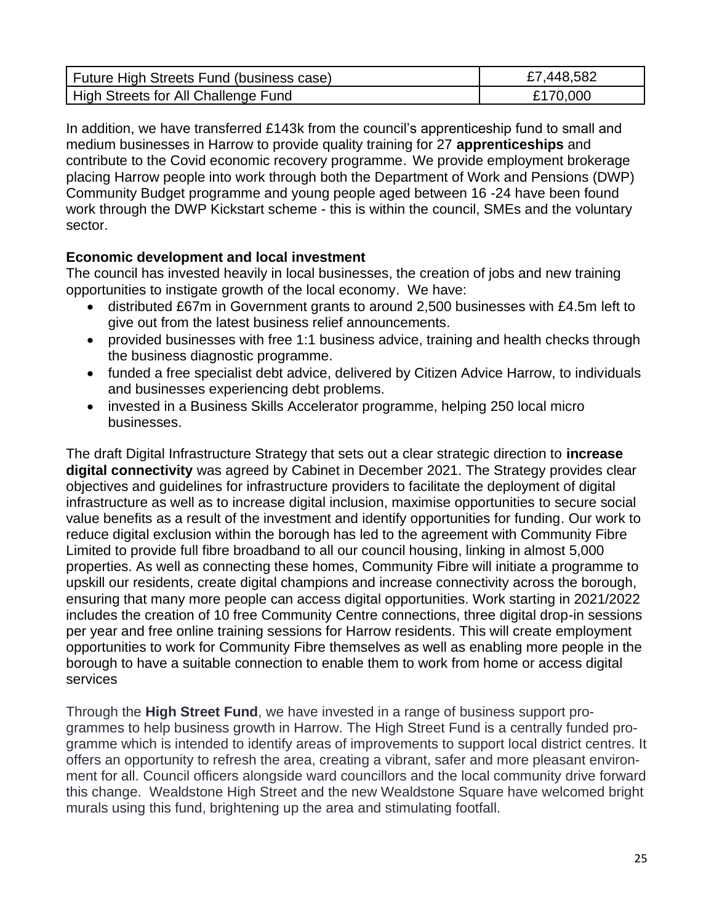| Future High Streets Fund (business case) | £7,448,582 |
|------------------------------------------|------------|
| High Streets for All Challenge Fund      | £170,000   |

In addition, we have transferred £143k from the council's apprenticeship fund to small and medium businesses in Harrow to provide quality training for 27 **apprenticeships** and contribute to the Covid economic recovery programme. We provide employment brokerage placing Harrow people into work through both the Department of Work and Pensions (DWP) Community Budget programme and young people aged between 16 -24 have been found work through the DWP Kickstart scheme - this is within the council, SMEs and the voluntary sector.

#### **Economic development and local investment**

The council has invested heavily in local businesses, the creation of jobs and new training opportunities to instigate growth of the local economy. We have:

- distributed £67m in Government grants to around 2,500 businesses with £4.5m left to give out from the latest business relief announcements.
- provided businesses with free 1:1 business advice, training and health checks through the business diagnostic programme.
- funded a free specialist debt advice, delivered by Citizen Advice Harrow, to individuals and businesses experiencing debt problems.
- invested in a Business Skills Accelerator programme, helping 250 local micro businesses.

The draft Digital Infrastructure Strategy that sets out a clear strategic direction to **increase digital connectivity** was agreed by Cabinet in December 2021. The Strategy provides clear objectives and guidelines for infrastructure providers to facilitate the deployment of digital infrastructure as well as to increase digital inclusion, maximise opportunities to secure social value benefits as a result of the investment and identify opportunities for funding. Our work to reduce digital exclusion within the borough has led to the agreement with Community Fibre Limited to provide full fibre broadband to all our council housing, linking in almost 5,000 properties. As well as connecting these homes, Community Fibre will initiate a programme to upskill our residents, create digital champions and increase connectivity across the borough, ensuring that many more people can access digital opportunities. Work starting in 2021/2022 includes the creation of 10 free Community Centre connections, three digital drop-in sessions per year and free online training sessions for Harrow residents. This will create employment opportunities to work for Community Fibre themselves as well as enabling more people in the borough to have a suitable connection to enable them to work from home or access digital services

Through the **High Street Fund**, we have invested in a range of business support programmes to help business growth in Harrow. The High Street Fund is a centrally funded programme which is intended to identify areas of improvements to support local district centres. It offers an opportunity to refresh the area, creating a vibrant, safer and more pleasant environment for all. Council officers alongside ward councillors and the local community drive forward this change. Wealdstone High Street and the new Wealdstone Square have welcomed bright murals using this fund, brightening up the area and stimulating footfall.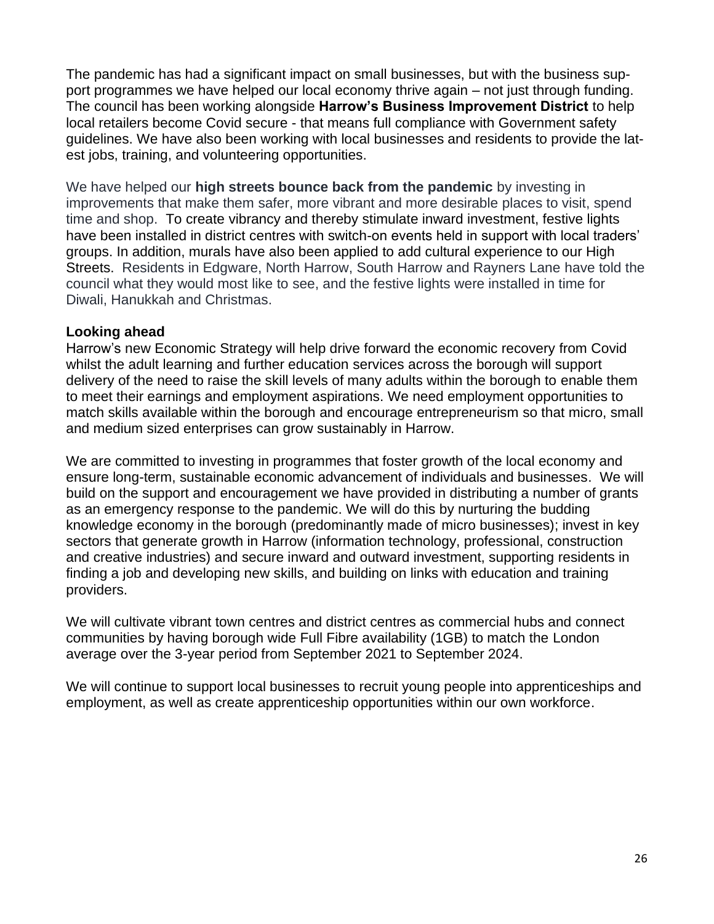The pandemic has had a significant impact on small businesses, but with the business support programmes we have helped our local economy thrive again – not just through funding. The council has been working alongside **Harrow's Business Improvement District** to help local retailers become Covid secure - that means full compliance with Government safety guidelines. We have also been working with local businesses and residents to provide the latest jobs, training, and volunteering opportunities.

We have helped our **high streets bounce back from the pandemic** by investing in improvements that make them safer, more vibrant and more desirable places to visit, spend time and shop. To create vibrancy and thereby stimulate inward investment, festive lights have been installed in district centres with switch-on events held in support with local traders' groups. In addition, murals have also been applied to add cultural experience to our High Streets. Residents in Edgware, North Harrow, South Harrow and Rayners Lane have told the council what they would most like to see, and the festive lights were installed in time for Diwali, Hanukkah and Christmas.

#### **Looking ahead**

Harrow's new Economic Strategy will help drive forward the economic recovery from Covid whilst the adult learning and further education services across the borough will support delivery of the need to raise the skill levels of many adults within the borough to enable them to meet their earnings and employment aspirations. We need employment opportunities to match skills available within the borough and encourage entrepreneurism so that micro, small and medium sized enterprises can grow sustainably in Harrow.

We are committed to investing in programmes that foster growth of the local economy and ensure long-term, sustainable economic advancement of individuals and businesses. We will build on the support and encouragement we have provided in distributing a number of grants as an emergency response to the pandemic. We will do this by nurturing the budding knowledge economy in the borough (predominantly made of micro businesses); invest in key sectors that generate growth in Harrow (information technology, professional, construction and creative industries) and secure inward and outward investment, supporting residents in finding a job and developing new skills, and building on links with education and training providers.

We will cultivate vibrant town centres and district centres as commercial hubs and connect communities by having borough wide Full Fibre availability (1GB) to match the London average over the 3-year period from September 2021 to September 2024.

We will continue to support local businesses to recruit young people into apprenticeships and employment, as well as create apprenticeship opportunities within our own workforce.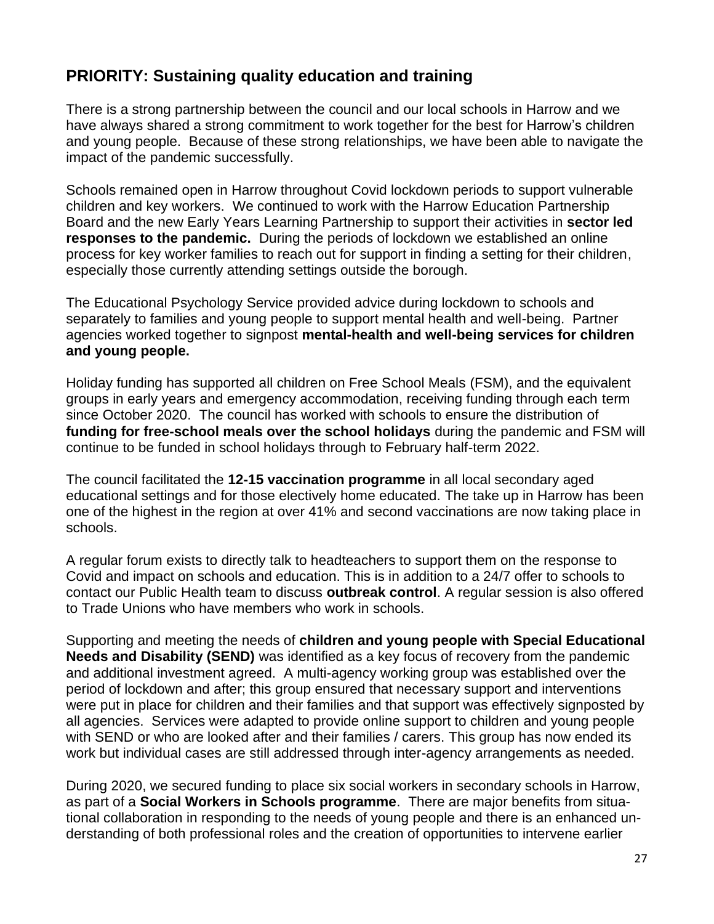## **PRIORITY: Sustaining quality education and training**

There is a strong partnership between the council and our local schools in Harrow and we have always shared a strong commitment to work together for the best for Harrow's children and young people. Because of these strong relationships, we have been able to navigate the impact of the pandemic successfully.

Schools remained open in Harrow throughout Covid lockdown periods to support vulnerable children and key workers. We continued to work with the Harrow Education Partnership Board and the new Early Years Learning Partnership to support their activities in **sector led responses to the pandemic.** During the periods of lockdown we established an online process for key worker families to reach out for support in finding a setting for their children, especially those currently attending settings outside the borough.

The Educational Psychology Service provided advice during lockdown to schools and separately to families and young people to support mental health and well-being. Partner agencies worked together to signpost **mental-health and well-being services for children and young people.**

Holiday funding has supported all children on Free School Meals (FSM), and the equivalent groups in early years and emergency accommodation, receiving funding through each term since October 2020. The council has worked with schools to ensure the distribution of **funding for free-school meals over the school holidays** during the pandemic and FSM will continue to be funded in school holidays through to February half-term 2022.

The council facilitated the **12-15 vaccination programme** in all local secondary aged educational settings and for those electively home educated. The take up in Harrow has been one of the highest in the region at over 41% and second vaccinations are now taking place in schools.

A regular forum exists to directly talk to headteachers to support them on the response to Covid and impact on schools and education. This is in addition to a 24/7 offer to schools to contact our Public Health team to discuss **outbreak control**. A regular session is also offered to Trade Unions who have members who work in schools.

Supporting and meeting the needs of **children and young people with Special Educational Needs and Disability (SEND)** was identified as a key focus of recovery from the pandemic and additional investment agreed. A multi-agency working group was established over the period of lockdown and after; this group ensured that necessary support and interventions were put in place for children and their families and that support was effectively signposted by all agencies. Services were adapted to provide online support to children and young people with SEND or who are looked after and their families / carers. This group has now ended its work but individual cases are still addressed through inter-agency arrangements as needed.

During 2020, we secured funding to place six social workers in secondary schools in Harrow, as part of a **Social Workers in Schools programme**. There are major benefits from situational collaboration in responding to the needs of young people and there is an enhanced understanding of both professional roles and the creation of opportunities to intervene earlier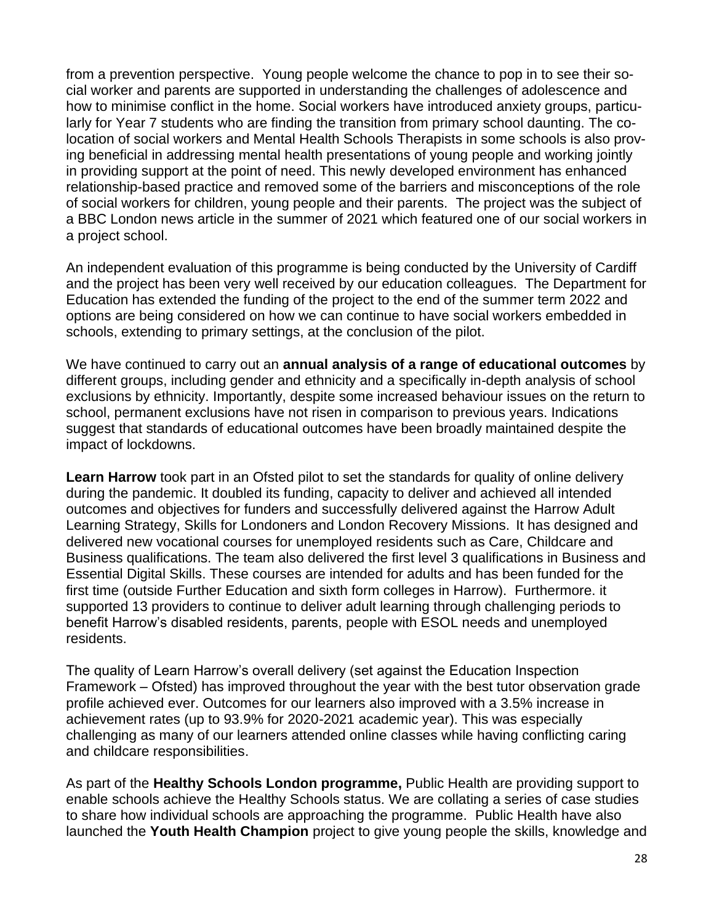from a prevention perspective. Young people welcome the chance to pop in to see their social worker and parents are supported in understanding the challenges of adolescence and how to minimise conflict in the home. Social workers have introduced anxiety groups, particularly for Year 7 students who are finding the transition from primary school daunting. The colocation of social workers and Mental Health Schools Therapists in some schools is also proving beneficial in addressing mental health presentations of young people and working jointly in providing support at the point of need. This newly developed environment has enhanced relationship-based practice and removed some of the barriers and misconceptions of the role of social workers for children, young people and their parents. The project was the subject of a BBC London news article in the summer of 2021 which featured one of our social workers in a project school.

An independent evaluation of this programme is being conducted by the University of Cardiff and the project has been very well received by our education colleagues. The Department for Education has extended the funding of the project to the end of the summer term 2022 and options are being considered on how we can continue to have social workers embedded in schools, extending to primary settings, at the conclusion of the pilot.

We have continued to carry out an **annual analysis of a range of educational outcomes** by different groups, including gender and ethnicity and a specifically in-depth analysis of school exclusions by ethnicity. Importantly, despite some increased behaviour issues on the return to school, permanent exclusions have not risen in comparison to previous years. Indications suggest that standards of educational outcomes have been broadly maintained despite the impact of lockdowns.

**Learn Harrow** took part in an Ofsted pilot to set the standards for quality of online delivery during the pandemic. It doubled its funding, capacity to deliver and achieved all intended outcomes and objectives for funders and successfully delivered against the Harrow Adult Learning Strategy, Skills for Londoners and London Recovery Missions. It has designed and delivered new vocational courses for unemployed residents such as Care, Childcare and Business qualifications. The team also delivered the first level 3 qualifications in Business and Essential Digital Skills. These courses are intended for adults and has been funded for the first time (outside Further Education and sixth form colleges in Harrow). Furthermore. it supported 13 providers to continue to deliver adult learning through challenging periods to benefit Harrow's disabled residents, parents, people with ESOL needs and unemployed residents.

The quality of Learn Harrow's overall delivery (set against the Education Inspection Framework – Ofsted) has improved throughout the year with the best tutor observation grade profile achieved ever. Outcomes for our learners also improved with a 3.5% increase in achievement rates (up to 93.9% for 2020-2021 academic year). This was especially challenging as many of our learners attended online classes while having conflicting caring and childcare responsibilities.

As part of the **Healthy Schools London programme,** Public Health are providing support to enable schools achieve the Healthy Schools status. We are collating a series of case studies to share how individual schools are approaching the programme. Public Health have also launched the **Youth Health Champion** project to give young people the skills, knowledge and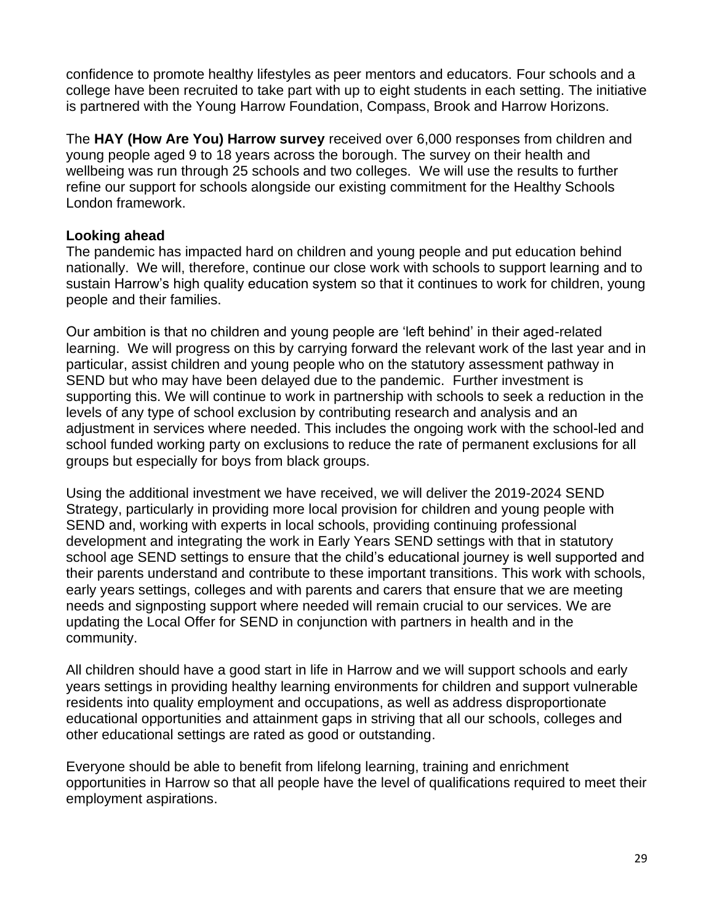confidence to promote healthy lifestyles as peer mentors and educators. Four schools and a college have been recruited to take part with up to eight students in each setting. The initiative is partnered with the Young Harrow Foundation, Compass, Brook and Harrow Horizons.

The **HAY (How Are You) Harrow survey** received over 6,000 responses from children and young people aged 9 to 18 years across the borough. The survey on their health and wellbeing was run through 25 schools and two colleges. We will use the results to further refine our support for schools alongside our existing commitment for the Healthy Schools London framework.

#### **Looking ahead**

The pandemic has impacted hard on children and young people and put education behind nationally. We will, therefore, continue our close work with schools to support learning and to sustain Harrow's high quality education system so that it continues to work for children, young people and their families.

Our ambition is that no children and young people are 'left behind' in their aged-related learning. We will progress on this by carrying forward the relevant work of the last year and in particular, assist children and young people who on the statutory assessment pathway in SEND but who may have been delayed due to the pandemic. Further investment is supporting this. We will continue to work in partnership with schools to seek a reduction in the levels of any type of school exclusion by contributing research and analysis and an adjustment in services where needed. This includes the ongoing work with the school-led and school funded working party on exclusions to reduce the rate of permanent exclusions for all groups but especially for boys from black groups.

Using the additional investment we have received, we will deliver the 2019-2024 SEND Strategy, particularly in providing more local provision for children and young people with SEND and, working with experts in local schools, providing continuing professional development and integrating the work in Early Years SEND settings with that in statutory school age SEND settings to ensure that the child's educational journey is well supported and their parents understand and contribute to these important transitions. This work with schools, early years settings, colleges and with parents and carers that ensure that we are meeting needs and signposting support where needed will remain crucial to our services. We are updating the Local Offer for SEND in conjunction with partners in health and in the community.

All children should have a good start in life in Harrow and we will support schools and early years settings in providing healthy learning environments for children and support vulnerable residents into quality employment and occupations, as well as address disproportionate educational opportunities and attainment gaps in striving that all our schools, colleges and other educational settings are rated as good or outstanding.

Everyone should be able to benefit from lifelong learning, training and enrichment opportunities in Harrow so that all people have the level of qualifications required to meet their employment aspirations.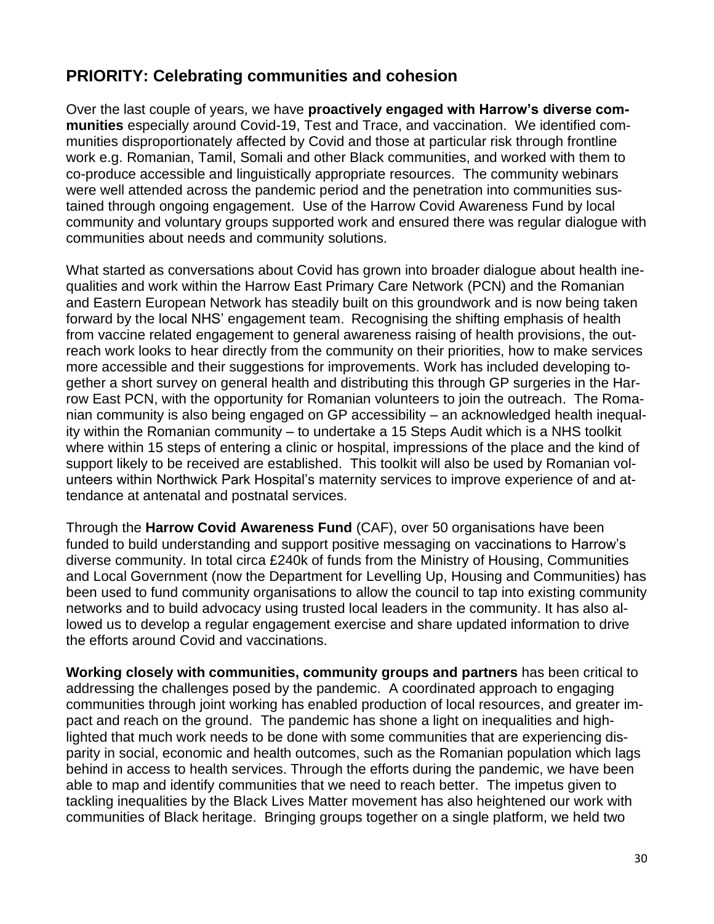## **PRIORITY: Celebrating communities and cohesion**

Over the last couple of years, we have **proactively engaged with Harrow's diverse communities** especially around Covid-19, Test and Trace, and vaccination. We identified communities disproportionately affected by Covid and those at particular risk through frontline work e.g. Romanian, Tamil, Somali and other Black communities, and worked with them to co-produce accessible and linguistically appropriate resources. The community webinars were well attended across the pandemic period and the penetration into communities sustained through ongoing engagement. Use of the Harrow Covid Awareness Fund by local community and voluntary groups supported work and ensured there was regular dialogue with communities about needs and community solutions.

What started as conversations about Covid has grown into broader dialogue about health inequalities and work within the Harrow East Primary Care Network (PCN) and the Romanian and Eastern European Network has steadily built on this groundwork and is now being taken forward by the local NHS' engagement team. Recognising the shifting emphasis of health from vaccine related engagement to general awareness raising of health provisions, the outreach work looks to hear directly from the community on their priorities, how to make services more accessible and their suggestions for improvements. Work has included developing together a short survey on general health and distributing this through GP surgeries in the Harrow East PCN, with the opportunity for Romanian volunteers to join the outreach. The Romanian community is also being engaged on GP accessibility – an acknowledged health inequality within the Romanian community – to undertake a 15 Steps Audit which is a NHS toolkit where within 15 steps of entering a clinic or hospital, impressions of the place and the kind of support likely to be received are established. This toolkit will also be used by Romanian volunteers within Northwick Park Hospital's maternity services to improve experience of and attendance at antenatal and postnatal services.

Through the **Harrow Covid Awareness Fund** (CAF), over 50 organisations have been funded to build understanding and support positive messaging on vaccinations to Harrow's diverse community. In total circa £240k of funds from the Ministry of Housing, Communities and Local Government (now the Department for Levelling Up, Housing and Communities) has been used to fund community organisations to allow the council to tap into existing community networks and to build advocacy using trusted local leaders in the community. It has also allowed us to develop a regular engagement exercise and share updated information to drive the efforts around Covid and vaccinations.

**Working closely with communities, community groups and partners** has been critical to addressing the challenges posed by the pandemic. A coordinated approach to engaging communities through joint working has enabled production of local resources, and greater impact and reach on the ground. The pandemic has shone a light on inequalities and highlighted that much work needs to be done with some communities that are experiencing disparity in social, economic and health outcomes, such as the Romanian population which lags behind in access to health services. Through the efforts during the pandemic, we have been able to map and identify communities that we need to reach better. The impetus given to tackling inequalities by the Black Lives Matter movement has also heightened our work with communities of Black heritage. Bringing groups together on a single platform, we held two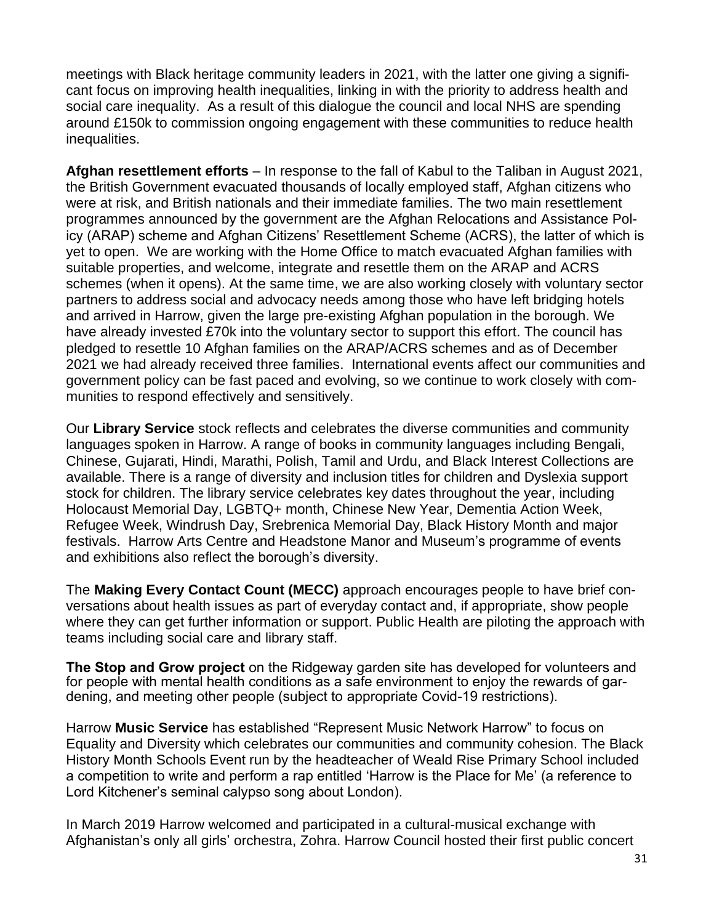meetings with Black heritage community leaders in 2021, with the latter one giving a significant focus on improving health inequalities, linking in with the priority to address health and social care inequality. As a result of this dialogue the council and local NHS are spending around £150k to commission ongoing engagement with these communities to reduce health inequalities.

**Afghan resettlement efforts** – In response to the fall of Kabul to the Taliban in August 2021, the British Government evacuated thousands of locally employed staff, Afghan citizens who were at risk, and British nationals and their immediate families. The two main resettlement programmes announced by the government are the Afghan Relocations and Assistance Policy (ARAP) scheme and Afghan Citizens' Resettlement Scheme (ACRS), the latter of which is yet to open. We are working with the Home Office to match evacuated Afghan families with suitable properties, and welcome, integrate and resettle them on the ARAP and ACRS schemes (when it opens). At the same time, we are also working closely with voluntary sector partners to address social and advocacy needs among those who have left bridging hotels and arrived in Harrow, given the large pre-existing Afghan population in the borough. We have already invested £70k into the voluntary sector to support this effort. The council has pledged to resettle 10 Afghan families on the ARAP/ACRS schemes and as of December 2021 we had already received three families. International events affect our communities and government policy can be fast paced and evolving, so we continue to work closely with communities to respond effectively and sensitively.

Our **Library Service** stock reflects and celebrates the diverse communities and community languages spoken in Harrow. A range of books in community languages including Bengali, Chinese, Gujarati, Hindi, Marathi, Polish, Tamil and Urdu, and Black Interest Collections are available. There is a range of diversity and inclusion titles for children and Dyslexia support stock for children. The library service celebrates key dates throughout the year, including Holocaust Memorial Day, LGBTQ+ month, Chinese New Year, Dementia Action Week, Refugee Week, Windrush Day, Srebrenica Memorial Day, Black History Month and major festivals. Harrow Arts Centre and Headstone Manor and Museum's programme of events and exhibitions also reflect the borough's diversity.

The **Making Every Contact Count (MECC)** approach encourages people to have brief conversations about health issues as part of everyday contact and, if appropriate, show people where they can get further information or support. Public Health are piloting the approach with teams including social care and library staff.

**The Stop and Grow project** on the Ridgeway garden site has developed for volunteers and for people with mental health conditions as a safe environment to enjoy the rewards of gardening, and meeting other people (subject to appropriate Covid-19 restrictions).

Harrow **Music Service** has established "Represent Music Network Harrow" to focus on Equality and Diversity which celebrates our communities and community cohesion. The Black History Month Schools Event run by the headteacher of Weald Rise Primary School included a competition to write and perform a rap entitled 'Harrow is the Place for Me' (a reference to Lord Kitchener's seminal calypso song about London).

In March 2019 Harrow welcomed and participated in a cultural-musical exchange with Afghanistan's only all girls' orchestra, Zohra. Harrow Council hosted their first public concert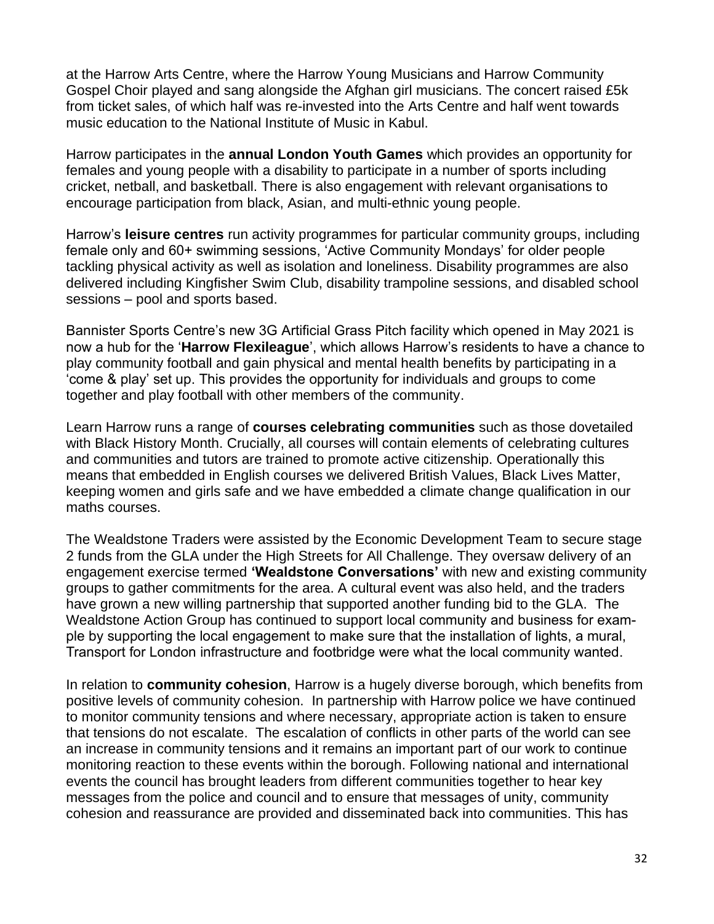at the Harrow Arts Centre, where the Harrow Young Musicians and Harrow Community Gospel Choir played and sang alongside the Afghan girl musicians. The concert raised £5k from ticket sales, of which half was re-invested into the Arts Centre and half went towards music education to the National Institute of Music in Kabul.

Harrow participates in the **annual London Youth Games** which provides an opportunity for females and young people with a disability to participate in a number of sports including cricket, netball, and basketball. There is also engagement with relevant organisations to encourage participation from black, Asian, and multi-ethnic young people.

Harrow's **leisure centres** run activity programmes for particular community groups, including female only and 60+ swimming sessions, 'Active Community Mondays' for older people tackling physical activity as well as isolation and loneliness. Disability programmes are also delivered including Kingfisher Swim Club, disability trampoline sessions, and disabled school sessions – pool and sports based.

Bannister Sports Centre's new 3G Artificial Grass Pitch facility which opened in May 2021 is now a hub for the '**Harrow Flexileague**', which allows Harrow's residents to have a chance to play community football and gain physical and mental health benefits by participating in a 'come & play' set up. This provides the opportunity for individuals and groups to come together and play football with other members of the community.

Learn Harrow runs a range of **courses celebrating communities** such as those dovetailed with Black History Month. Crucially, all courses will contain elements of celebrating cultures and communities and tutors are trained to promote active citizenship. Operationally this means that embedded in English courses we delivered British Values, Black Lives Matter, keeping women and girls safe and we have embedded a climate change qualification in our maths courses.

The Wealdstone Traders were assisted by the Economic Development Team to secure stage 2 funds from the GLA under the High Streets for All Challenge. They oversaw delivery of an engagement exercise termed **'Wealdstone Conversations'** with new and existing community groups to gather commitments for the area. A cultural event was also held, and the traders have grown a new willing partnership that supported another funding bid to the GLA. The Wealdstone Action Group has continued to support local community and business for example by supporting the local engagement to make sure that the installation of lights, a mural, Transport for London infrastructure and footbridge were what the local community wanted.

In relation to **community cohesion**, Harrow is a hugely diverse borough, which benefits from positive levels of community cohesion. In partnership with Harrow police we have continued to monitor community tensions and where necessary, appropriate action is taken to ensure that tensions do not escalate. The escalation of conflicts in other parts of the world can see an increase in community tensions and it remains an important part of our work to continue monitoring reaction to these events within the borough. Following national and international events the council has brought leaders from different communities together to hear key messages from the police and council and to ensure that messages of unity, community cohesion and reassurance are provided and disseminated back into communities. This has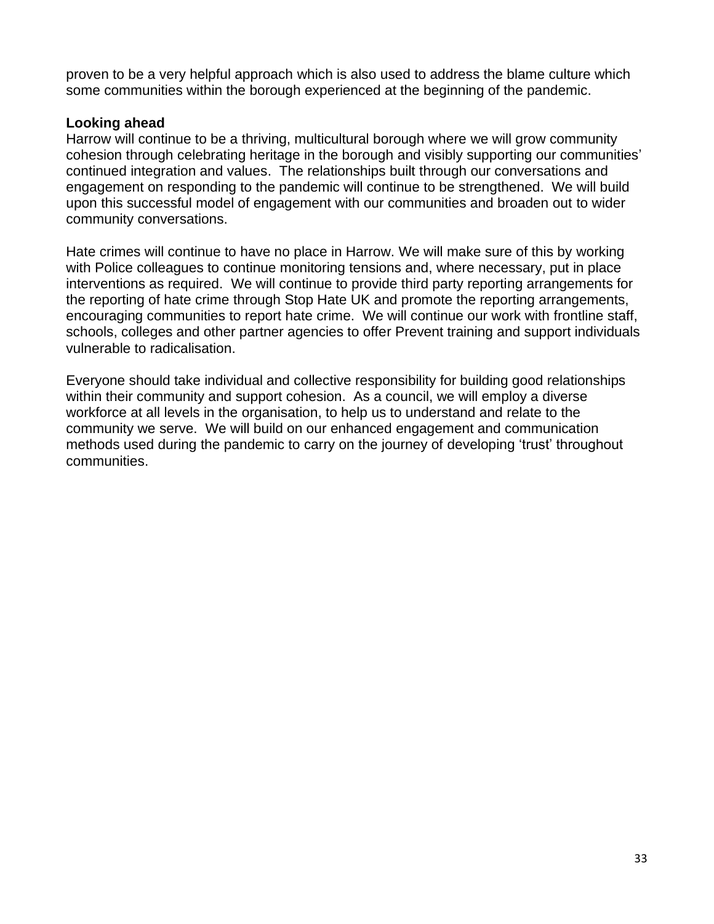proven to be a very helpful approach which is also used to address the blame culture which some communities within the borough experienced at the beginning of the pandemic.

#### **Looking ahead**

Harrow will continue to be a thriving, multicultural borough where we will grow community cohesion through celebrating heritage in the borough and visibly supporting our communities' continued integration and values. The relationships built through our conversations and engagement on responding to the pandemic will continue to be strengthened. We will build upon this successful model of engagement with our communities and broaden out to wider community conversations.

Hate crimes will continue to have no place in Harrow. We will make sure of this by working with Police colleagues to continue monitoring tensions and, where necessary, put in place interventions as required. We will continue to provide third party reporting arrangements for the reporting of hate crime through Stop Hate UK and promote the reporting arrangements, encouraging communities to report hate crime. We will continue our work with frontline staff, schools, colleges and other partner agencies to offer Prevent training and support individuals vulnerable to radicalisation.

Everyone should take individual and collective responsibility for building good relationships within their community and support cohesion. As a council, we will employ a diverse workforce at all levels in the organisation, to help us to understand and relate to the community we serve. We will build on our enhanced engagement and communication methods used during the pandemic to carry on the journey of developing 'trust' throughout communities.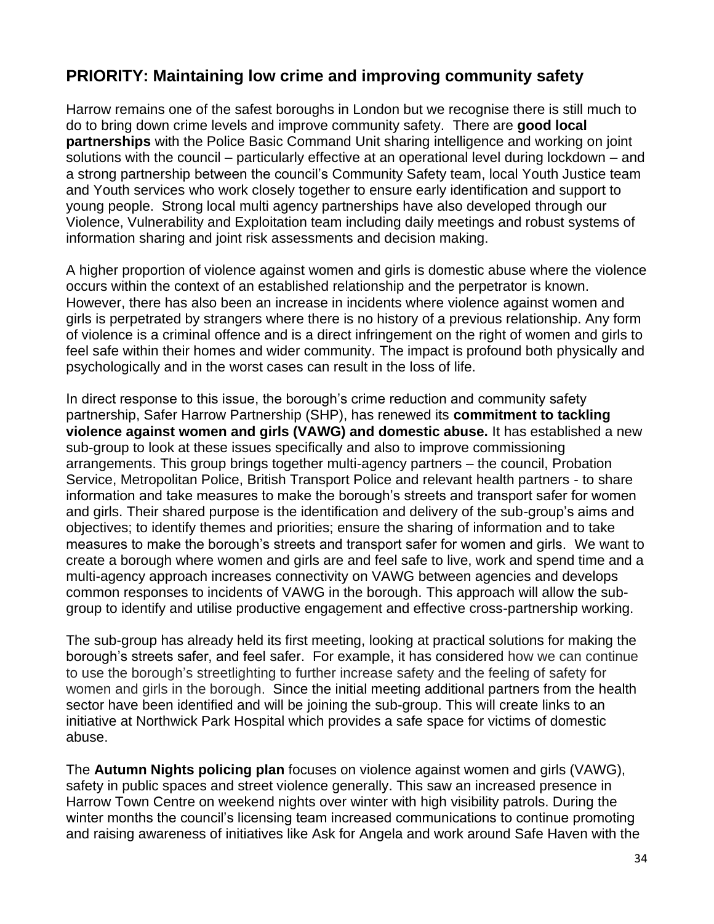## **PRIORITY: Maintaining low crime and improving community safety**

Harrow remains one of the safest boroughs in London but we recognise there is still much to do to bring down crime levels and improve community safety. There are **good local partnerships** with the Police Basic Command Unit sharing intelligence and working on joint solutions with the council – particularly effective at an operational level during lockdown – and a strong partnership between the council's Community Safety team, local Youth Justice team and Youth services who work closely together to ensure early identification and support to young people. Strong local multi agency partnerships have also developed through our Violence, Vulnerability and Exploitation team including daily meetings and robust systems of information sharing and joint risk assessments and decision making.

A higher proportion of violence against women and girls is domestic abuse where the violence occurs within the context of an established relationship and the perpetrator is known. However, there has also been an increase in incidents where violence against women and girls is perpetrated by strangers where there is no history of a previous relationship. Any form of violence is a criminal offence and is a direct infringement on the right of women and girls to feel safe within their homes and wider community. The impact is profound both physically and psychologically and in the worst cases can result in the loss of life.

In direct response to this issue, the borough's crime reduction and community safety partnership, Safer Harrow Partnership (SHP), has renewed its **commitment to tackling violence against women and girls (VAWG) and domestic abuse.** It has established a new sub-group to look at these issues specifically and also to improve commissioning arrangements. This group brings together multi-agency partners – the council, Probation Service, Metropolitan Police, British Transport Police and relevant health partners - to share information and take measures to make the borough's streets and transport safer for women and girls. Their shared purpose is the identification and delivery of the sub-group's aims and objectives; to identify themes and priorities; ensure the sharing of information and to take measures to make the borough's streets and transport safer for women and girls. We want to create a borough where women and girls are and feel safe to live, work and spend time and a multi-agency approach increases connectivity on VAWG between agencies and develops common responses to incidents of VAWG in the borough. This approach will allow the subgroup to identify and utilise productive engagement and effective cross-partnership working.

The sub-group has already held its first meeting, looking at practical solutions for making the borough's streets safer, and feel safer. For example, it has considered how we can continue to use the borough's streetlighting to further increase safety and the feeling of safety for women and girls in the borough. Since the initial meeting additional partners from the health sector have been identified and will be joining the sub-group. This will create links to an initiative at Northwick Park Hospital which provides a safe space for victims of domestic abuse.

The **Autumn Nights policing plan** focuses on violence against women and girls (VAWG), safety in public spaces and street violence generally. This saw an increased presence in Harrow Town Centre on weekend nights over winter with high visibility patrols. During the winter months the council's licensing team increased communications to continue promoting and raising awareness of initiatives like Ask for Angela and work around Safe Haven with the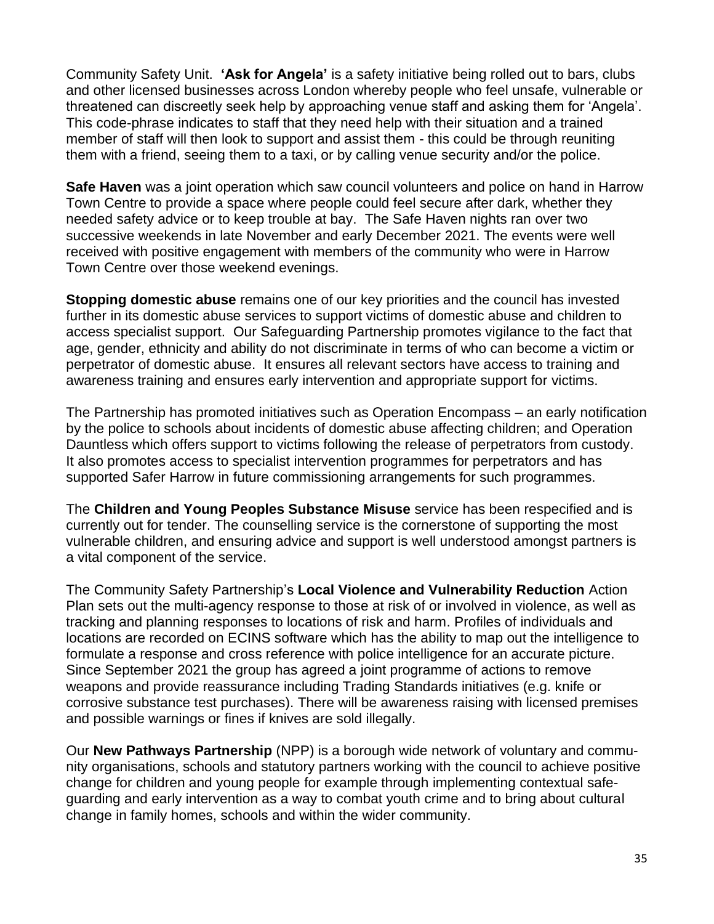Community Safety Unit. **'Ask for Angela'** is a safety initiative being rolled out to bars, clubs and other licensed businesses across London whereby people who feel unsafe, vulnerable or threatened can discreetly seek help by approaching venue staff and asking them for 'Angela'. This code-phrase indicates to staff that they need help with their situation and a trained member of staff will then look to support and assist them - this could be through reuniting them with a friend, seeing them to a taxi, or by calling venue security and/or the police.

**Safe Haven** was a joint operation which saw council volunteers and police on hand in Harrow Town Centre to provide a space where people could feel secure after dark, whether they needed safety advice or to keep trouble at bay. The Safe Haven nights ran over two successive weekends in late November and early December 2021. The events were well received with positive engagement with members of the community who were in Harrow Town Centre over those weekend evenings.

**Stopping domestic abuse** remains one of our key priorities and the council has invested further in its domestic abuse services to support victims of domestic abuse and children to access specialist support. Our Safeguarding Partnership promotes vigilance to the fact that age, gender, ethnicity and ability do not discriminate in terms of who can become a victim or perpetrator of domestic abuse. It ensures all relevant sectors have access to training and awareness training and ensures early intervention and appropriate support for victims.

The Partnership has promoted initiatives such as Operation Encompass – an early notification by the police to schools about incidents of domestic abuse affecting children; and Operation Dauntless which offers support to victims following the release of perpetrators from custody. It also promotes access to specialist intervention programmes for perpetrators and has supported Safer Harrow in future commissioning arrangements for such programmes.

The **Children and Young Peoples Substance Misuse** service has been respecified and is currently out for tender. The counselling service is the cornerstone of supporting the most vulnerable children, and ensuring advice and support is well understood amongst partners is a vital component of the service.

The Community Safety Partnership's **Local Violence and Vulnerability Reduction** Action Plan sets out the multi-agency response to those at risk of or involved in violence, as well as tracking and planning responses to locations of risk and harm. Profiles of individuals and locations are recorded on ECINS software which has the ability to map out the intelligence to formulate a response and cross reference with police intelligence for an accurate picture. Since September 2021 the group has agreed a joint programme of actions to remove weapons and provide reassurance including Trading Standards initiatives (e.g. knife or corrosive substance test purchases). There will be awareness raising with licensed premises and possible warnings or fines if knives are sold illegally.

Our **New Pathways Partnership** (NPP) is a borough wide network of voluntary and community organisations, schools and statutory partners working with the council to achieve positive change for children and young people for example through implementing contextual safeguarding and early intervention as a way to combat youth crime and to bring about cultural change in family homes, schools and within the wider community.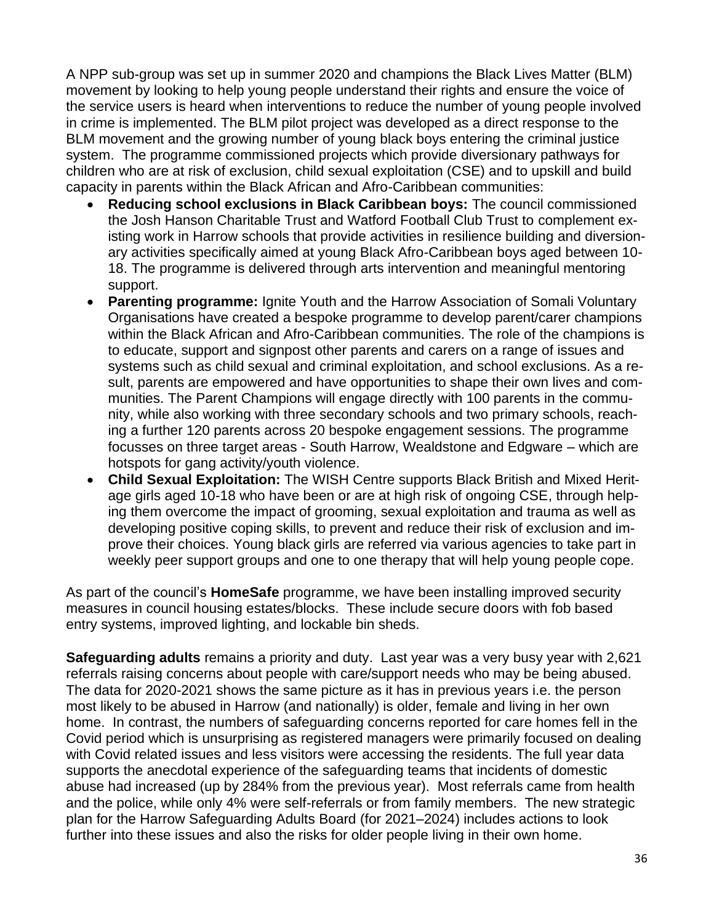A NPP sub-group was set up in summer 2020 and champions the Black Lives Matter (BLM) movement by looking to help young people understand their rights and ensure the voice of the service users is heard when interventions to reduce the number of young people involved in crime is implemented. The BLM pilot project was developed as a direct response to the BLM movement and the growing number of young black boys entering the criminal justice system. The programme commissioned projects which provide diversionary pathways for children who are at risk of exclusion, child sexual exploitation (CSE) and to upskill and build capacity in parents within the Black African and Afro-Caribbean communities:

- **Reducing school exclusions in Black Caribbean boys:** The council commissioned the Josh Hanson Charitable Trust and Watford Football Club Trust to complement existing work in Harrow schools that provide activities in resilience building and diversionary activities specifically aimed at young Black Afro-Caribbean boys aged between 10- 18. The programme is delivered through arts intervention and meaningful mentoring support.
- **Parenting programme:** Ignite Youth and the Harrow Association of Somali Voluntary Organisations have created a bespoke programme to develop parent/carer champions within the Black African and Afro-Caribbean communities. The role of the champions is to educate, support and signpost other parents and carers on a range of issues and systems such as child sexual and criminal exploitation, and school exclusions. As a result, parents are empowered and have opportunities to shape their own lives and communities. The Parent Champions will engage directly with 100 parents in the community, while also working with three secondary schools and two primary schools, reaching a further 120 parents across 20 bespoke engagement sessions. The programme focusses on three target areas - South Harrow, Wealdstone and Edgware – which are hotspots for gang activity/youth violence.
- **Child Sexual Exploitation:** The WISH Centre supports Black British and Mixed Heritage girls aged 10-18 who have been or are at high risk of ongoing CSE, through helping them overcome the impact of grooming, sexual exploitation and trauma as well as developing positive coping skills, to prevent and reduce their risk of exclusion and improve their choices. Young black girls are referred via various agencies to take part in weekly peer support groups and one to one therapy that will help young people cope.

As part of the council's **HomeSafe** programme, we have been installing improved security measures in council housing estates/blocks. These include secure doors with fob based entry systems, improved lighting, and lockable bin sheds.

**Safeguarding adults** remains a priority and duty. Last year was a very busy year with 2,621 referrals raising concerns about people with care/support needs who may be being abused. The data for 2020-2021 shows the same picture as it has in previous years i.e. the person most likely to be abused in Harrow (and nationally) is older, female and living in her own home. In contrast, the numbers of safeguarding concerns reported for care homes fell in the Covid period which is unsurprising as registered managers were primarily focused on dealing with Covid related issues and less visitors were accessing the residents. The full year data supports the anecdotal experience of the safeguarding teams that incidents of domestic abuse had increased (up by 284% from the previous year). Most referrals came from health and the police, while only 4% were self-referrals or from family members. The new strategic plan for the Harrow Safeguarding Adults Board (for 2021–2024) includes actions to look further into these issues and also the risks for older people living in their own home.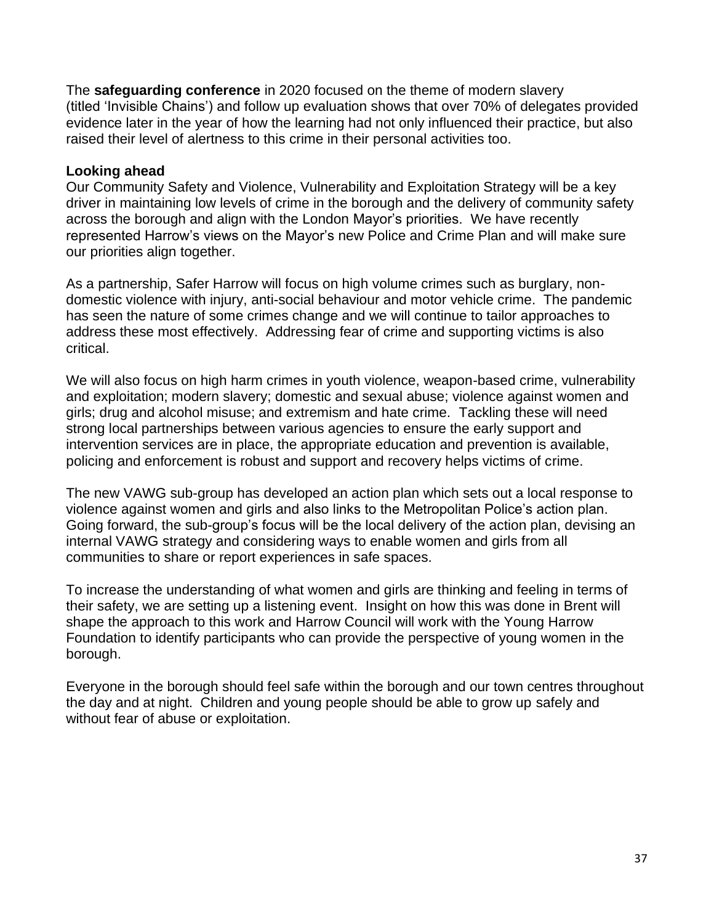The **safeguarding conference** in 2020 focused on the theme of modern slavery (titled 'Invisible Chains') and follow up evaluation shows that over 70% of delegates provided evidence later in the year of how the learning had not only influenced their practice, but also raised their level of alertness to this crime in their personal activities too.

#### **Looking ahead**

Our Community Safety and Violence, Vulnerability and Exploitation Strategy will be a key driver in maintaining low levels of crime in the borough and the delivery of community safety across the borough and align with the London Mayor's priorities. We have recently represented Harrow's views on the Mayor's new Police and Crime Plan and will make sure our priorities align together.

As a partnership, Safer Harrow will focus on high volume crimes such as burglary, nondomestic violence with injury, anti-social behaviour and motor vehicle crime. The pandemic has seen the nature of some crimes change and we will continue to tailor approaches to address these most effectively. Addressing fear of crime and supporting victims is also critical.

We will also focus on high harm crimes in youth violence, weapon-based crime, vulnerability and exploitation; modern slavery; domestic and sexual abuse; violence against women and girls; drug and alcohol misuse; and extremism and hate crime. Tackling these will need strong local partnerships between various agencies to ensure the early support and intervention services are in place, the appropriate education and prevention is available, policing and enforcement is robust and support and recovery helps victims of crime.

The new VAWG sub-group has developed an action plan which sets out a local response to violence against women and girls and also links to the Metropolitan Police's action plan. Going forward, the sub-group's focus will be the local delivery of the action plan, devising an internal VAWG strategy and considering ways to enable women and girls from all communities to share or report experiences in safe spaces.

To increase the understanding of what women and girls are thinking and feeling in terms of their safety, we are setting up a listening event. Insight on how this was done in Brent will shape the approach to this work and Harrow Council will work with the Young Harrow Foundation to identify participants who can provide the perspective of young women in the borough.

Everyone in the borough should feel safe within the borough and our town centres throughout the day and at night. Children and young people should be able to grow up safely and without fear of abuse or exploitation.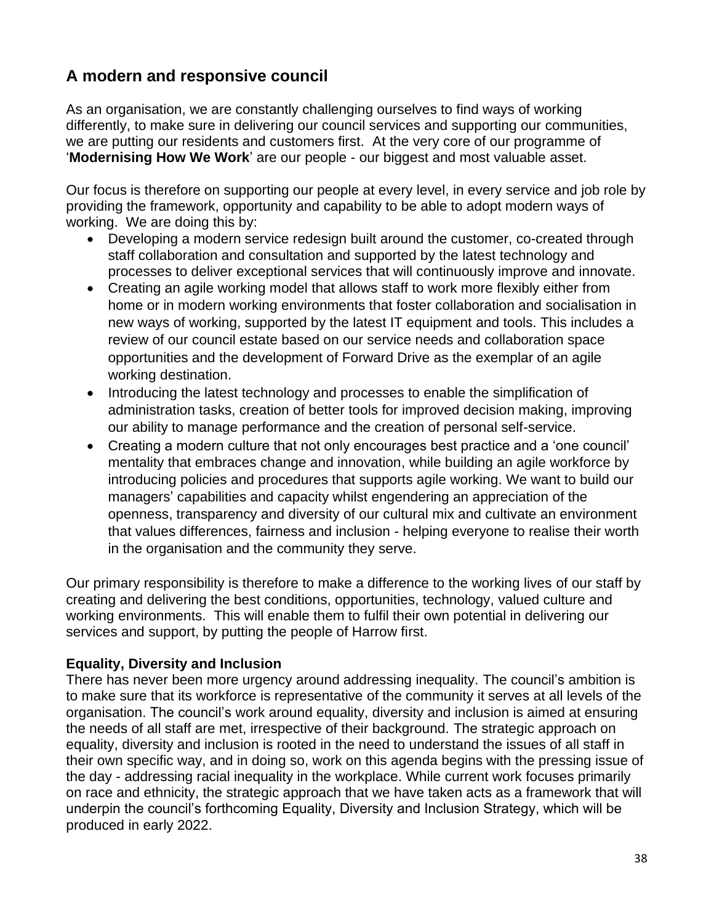## **A modern and responsive council**

As an organisation, we are constantly challenging ourselves to find ways of working differently, to make sure in delivering our council services and supporting our communities, we are putting our residents and customers first. At the very core of our programme of '**Modernising How We Work**' are our people - our biggest and most valuable asset.

Our focus is therefore on supporting our people at every level, in every service and job role by providing the framework, opportunity and capability to be able to adopt modern ways of working. We are doing this by:

- Developing a modern service redesign built around the customer, co-created through staff collaboration and consultation and supported by the latest technology and processes to deliver exceptional services that will continuously improve and innovate.
- Creating an agile working model that allows staff to work more flexibly either from home or in modern working environments that foster collaboration and socialisation in new ways of working, supported by the latest IT equipment and tools. This includes a review of our council estate based on our service needs and collaboration space opportunities and the development of Forward Drive as the exemplar of an agile working destination.
- Introducing the latest technology and processes to enable the simplification of administration tasks, creation of better tools for improved decision making, improving our ability to manage performance and the creation of personal self-service.
- Creating a modern culture that not only encourages best practice and a 'one council' mentality that embraces change and innovation, while building an agile workforce by introducing policies and procedures that supports agile working. We want to build our managers' capabilities and capacity whilst engendering an appreciation of the openness, transparency and diversity of our cultural mix and cultivate an environment that values differences, fairness and inclusion - helping everyone to realise their worth in the organisation and the community they serve.

Our primary responsibility is therefore to make a difference to the working lives of our staff by creating and delivering the best conditions, opportunities, technology, valued culture and working environments. This will enable them to fulfil their own potential in delivering our services and support, by putting the people of Harrow first.

#### **Equality, Diversity and Inclusion**

There has never been more urgency around addressing inequality. The council's ambition is to make sure that its workforce is representative of the community it serves at all levels of the organisation. The council's work around equality, diversity and inclusion is aimed at ensuring the needs of all staff are met, irrespective of their background. The strategic approach on equality, diversity and inclusion is rooted in the need to understand the issues of all staff in their own specific way, and in doing so, work on this agenda begins with the pressing issue of the day - addressing racial inequality in the workplace. While current work focuses primarily on race and ethnicity, the strategic approach that we have taken acts as a framework that will underpin the council's forthcoming Equality, Diversity and Inclusion Strategy, which will be produced in early 2022.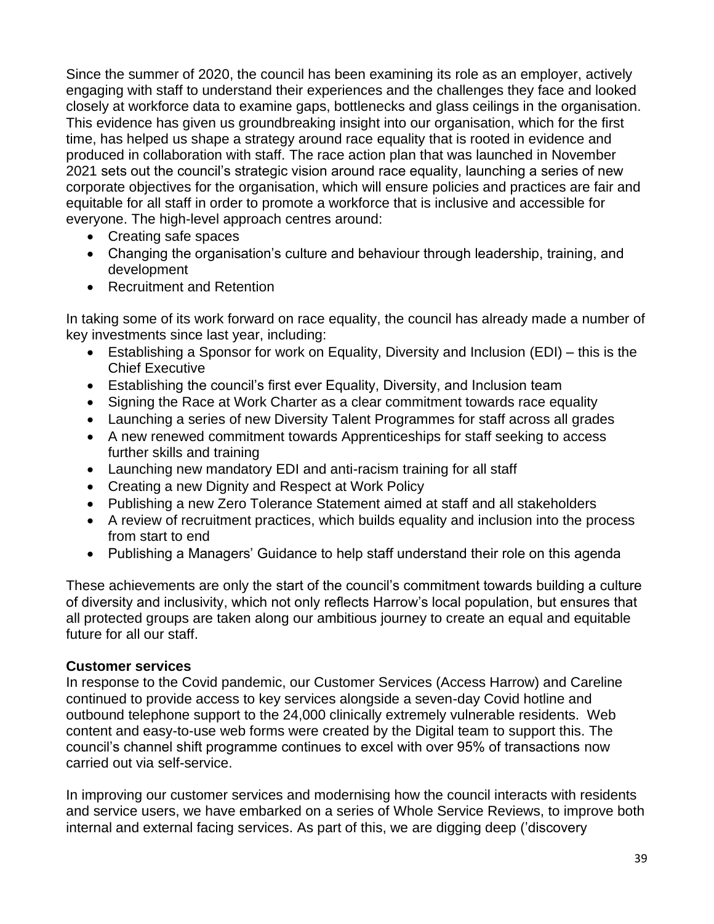Since the summer of 2020, the council has been examining its role as an employer, actively engaging with staff to understand their experiences and the challenges they face and looked closely at workforce data to examine gaps, bottlenecks and glass ceilings in the organisation. This evidence has given us groundbreaking insight into our organisation, which for the first time, has helped us shape a strategy around race equality that is rooted in evidence and produced in collaboration with staff. The race action plan that was launched in November 2021 sets out the council's strategic vision around race equality, launching a series of new corporate objectives for the organisation, which will ensure policies and practices are fair and equitable for all staff in order to promote a workforce that is inclusive and accessible for everyone. The high-level approach centres around:

- Creating safe spaces
- Changing the organisation's culture and behaviour through leadership, training, and development
- Recruitment and Retention

In taking some of its work forward on race equality, the council has already made a number of key investments since last year, including:

- Establishing a Sponsor for work on Equality, Diversity and Inclusion (EDI) this is the Chief Executive
- Establishing the council's first ever Equality, Diversity, and Inclusion team
- Signing the Race at Work Charter as a clear commitment towards race equality
- Launching a series of new Diversity Talent Programmes for staff across all grades
- A new renewed commitment towards Apprenticeships for staff seeking to access further skills and training
- Launching new mandatory EDI and anti-racism training for all staff
- Creating a new Dignity and Respect at Work Policy
- Publishing a new Zero Tolerance Statement aimed at staff and all stakeholders
- A review of recruitment practices, which builds equality and inclusion into the process from start to end
- Publishing a Managers' Guidance to help staff understand their role on this agenda

These achievements are only the start of the council's commitment towards building a culture of diversity and inclusivity, which not only reflects Harrow's local population, but ensures that all protected groups are taken along our ambitious journey to create an equal and equitable future for all our staff.

#### **Customer services**

In response to the Covid pandemic, our Customer Services (Access Harrow) and Careline continued to provide access to key services alongside a seven-day Covid hotline and outbound telephone support to the 24,000 clinically extremely vulnerable residents. Web content and easy-to-use web forms were created by the Digital team to support this. The council's channel shift programme continues to excel with over 95% of transactions now carried out via self-service.

In improving our customer services and modernising how the council interacts with residents and service users, we have embarked on a series of Whole Service Reviews, to improve both internal and external facing services. As part of this, we are digging deep ('discovery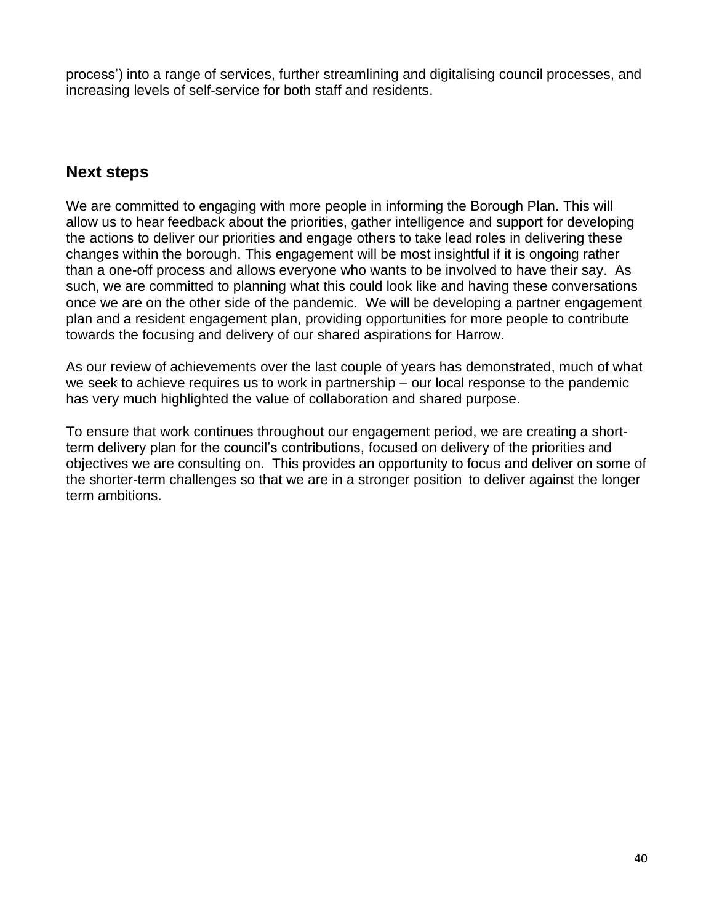process') into a range of services, further streamlining and digitalising council processes, and increasing levels of self-service for both staff and residents.

### **Next steps**

We are committed to engaging with more people in informing the Borough Plan. This will allow us to hear feedback about the priorities, gather intelligence and support for developing the actions to deliver our priorities and engage others to take lead roles in delivering these changes within the borough. This engagement will be most insightful if it is ongoing rather than a one-off process and allows everyone who wants to be involved to have their say. As such, we are committed to planning what this could look like and having these conversations once we are on the other side of the pandemic. We will be developing a partner engagement plan and a resident engagement plan, providing opportunities for more people to contribute towards the focusing and delivery of our shared aspirations for Harrow.

As our review of achievements over the last couple of years has demonstrated, much of what we seek to achieve requires us to work in partnership – our local response to the pandemic has very much highlighted the value of collaboration and shared purpose.

To ensure that work continues throughout our engagement period, we are creating a shortterm delivery plan for the council's contributions, focused on delivery of the priorities and objectives we are consulting on. This provides an opportunity to focus and deliver on some of the shorter-term challenges so that we are in a stronger position to deliver against the longer term ambitions.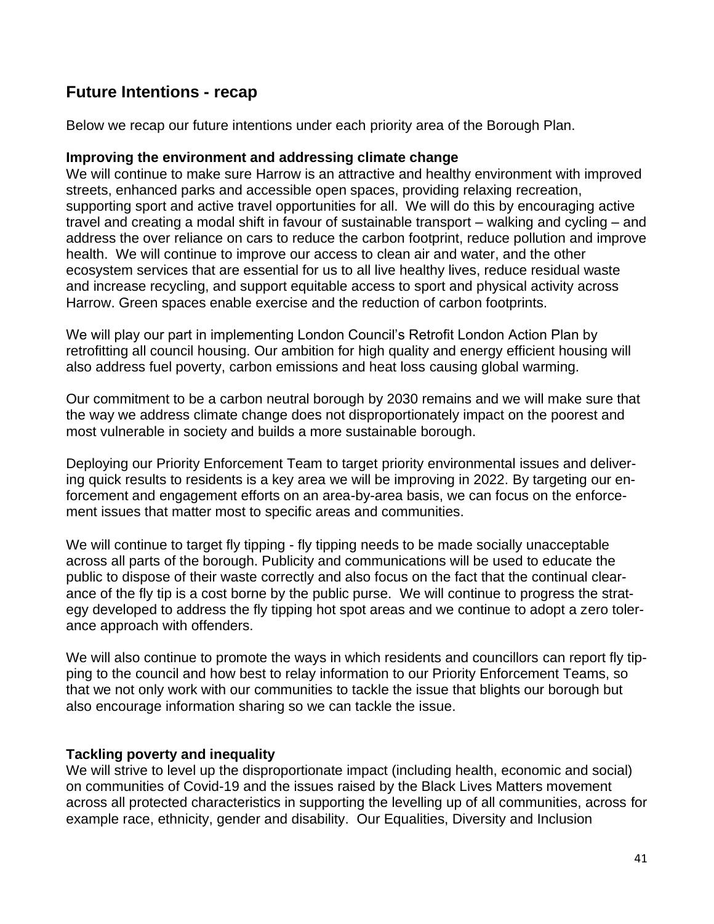### **Future Intentions - recap**

Below we recap our future intentions under each priority area of the Borough Plan.

#### **Improving the environment and addressing climate change**

We will continue to make sure Harrow is an attractive and healthy environment with improved streets, enhanced parks and accessible open spaces, providing relaxing recreation, supporting sport and active travel opportunities for all. We will do this by encouraging active travel and creating a modal shift in favour of sustainable transport – walking and cycling – and address the over reliance on cars to reduce the carbon footprint, reduce pollution and improve health. We will continue to improve our access to clean air and water, and the other ecosystem services that are essential for us to all live healthy lives, reduce residual waste and increase recycling, and support equitable access to sport and physical activity across Harrow. Green spaces enable exercise and the reduction of carbon footprints.

We will play our part in implementing London Council's Retrofit London Action Plan by retrofitting all council housing. Our ambition for high quality and energy efficient housing will also address fuel poverty, carbon emissions and heat loss causing global warming.

Our commitment to be a carbon neutral borough by 2030 remains and we will make sure that the way we address climate change does not disproportionately impact on the poorest and most vulnerable in society and builds a more sustainable borough.

Deploying our Priority Enforcement Team to target priority environmental issues and delivering quick results to residents is a key area we will be improving in 2022. By targeting our enforcement and engagement efforts on an area-by-area basis, we can focus on the enforcement issues that matter most to specific areas and communities.

We will continue to target fly tipping - fly tipping needs to be made socially unacceptable across all parts of the borough. Publicity and communications will be used to educate the public to dispose of their waste correctly and also focus on the fact that the continual clearance of the fly tip is a cost borne by the public purse. We will continue to progress the strategy developed to address the fly tipping hot spot areas and we continue to adopt a zero tolerance approach with offenders.

We will also continue to promote the ways in which residents and councillors can report fly tipping to the council and how best to relay information to our Priority Enforcement Teams, so that we not only work with our communities to tackle the issue that blights our borough but also encourage information sharing so we can tackle the issue.

#### **Tackling poverty and inequality**

We will strive to level up the disproportionate impact (including health, economic and social) on communities of Covid-19 and the issues raised by the Black Lives Matters movement across all protected characteristics in supporting the levelling up of all communities, across for example race, ethnicity, gender and disability. Our Equalities, Diversity and Inclusion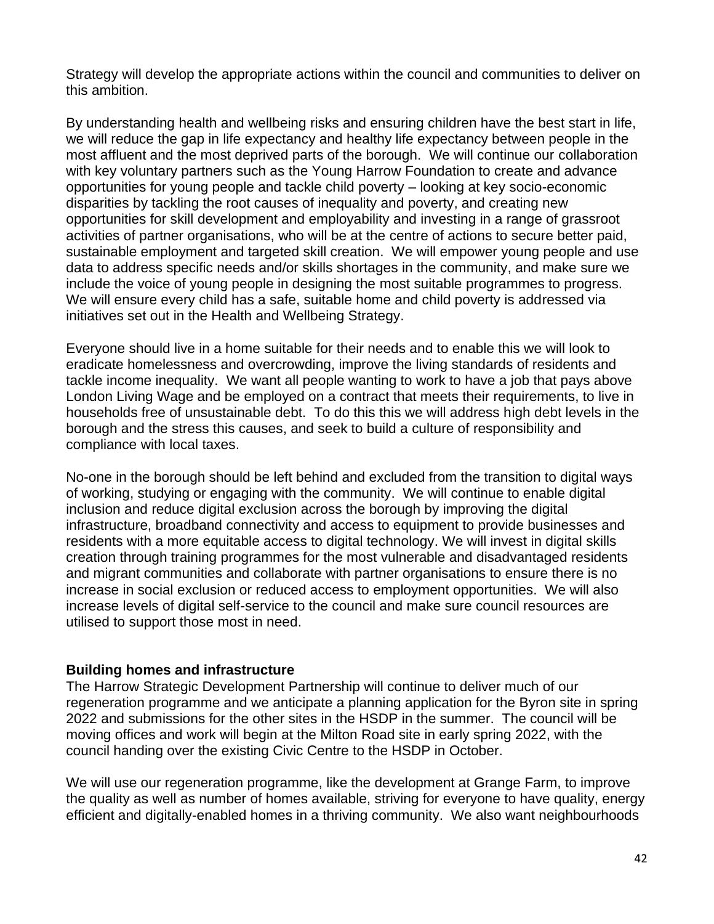Strategy will develop the appropriate actions within the council and communities to deliver on this ambition.

By understanding health and wellbeing risks and ensuring children have the best start in life, we will reduce the gap in life expectancy and healthy life expectancy between people in the most affluent and the most deprived parts of the borough. We will continue our collaboration with key voluntary partners such as the Young Harrow Foundation to create and advance opportunities for young people and tackle child poverty – looking at key socio-economic disparities by tackling the root causes of inequality and poverty, and creating new opportunities for skill development and employability and investing in a range of grassroot activities of partner organisations, who will be at the centre of actions to secure better paid, sustainable employment and targeted skill creation. We will empower young people and use data to address specific needs and/or skills shortages in the community, and make sure we include the voice of young people in designing the most suitable programmes to progress. We will ensure every child has a safe, suitable home and child poverty is addressed via initiatives set out in the Health and Wellbeing Strategy.

Everyone should live in a home suitable for their needs and to enable this we will look to eradicate homelessness and overcrowding, improve the living standards of residents and tackle income inequality. We want all people wanting to work to have a job that pays above London Living Wage and be employed on a contract that meets their requirements, to live in households free of unsustainable debt. To do this this we will address high debt levels in the borough and the stress this causes, and seek to build a culture of responsibility and compliance with local taxes.

No-one in the borough should be left behind and excluded from the transition to digital ways of working, studying or engaging with the community. We will continue to enable digital inclusion and reduce digital exclusion across the borough by improving the digital infrastructure, broadband connectivity and access to equipment to provide businesses and residents with a more equitable access to digital technology. We will invest in digital skills creation through training programmes for the most vulnerable and disadvantaged residents and migrant communities and collaborate with partner organisations to ensure there is no increase in social exclusion or reduced access to employment opportunities. We will also increase levels of digital self-service to the council and make sure council resources are utilised to support those most in need.

#### **Building homes and infrastructure**

The Harrow Strategic Development Partnership will continue to deliver much of our regeneration programme and we anticipate a planning application for the Byron site in spring 2022 and submissions for the other sites in the HSDP in the summer. The council will be moving offices and work will begin at the Milton Road site in early spring 2022, with the council handing over the existing Civic Centre to the HSDP in October.

We will use our regeneration programme, like the development at Grange Farm, to improve the quality as well as number of homes available, striving for everyone to have quality, energy efficient and digitally-enabled homes in a thriving community. We also want neighbourhoods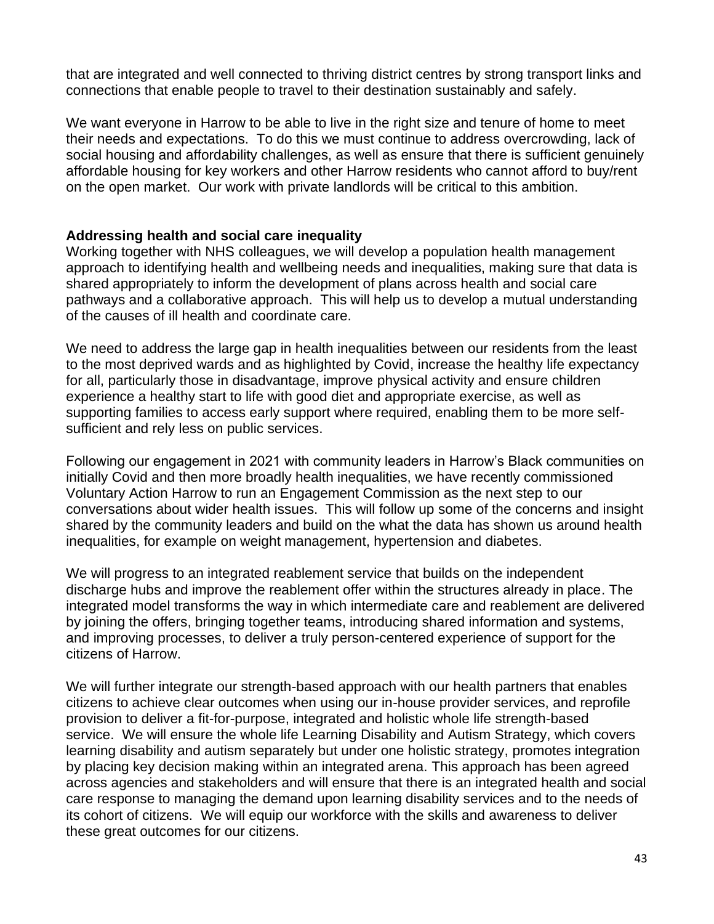that are integrated and well connected to thriving district centres by strong transport links and connections that enable people to travel to their destination sustainably and safely.

We want everyone in Harrow to be able to live in the right size and tenure of home to meet their needs and expectations. To do this we must continue to address overcrowding, lack of social housing and affordability challenges, as well as ensure that there is sufficient genuinely affordable housing for key workers and other Harrow residents who cannot afford to buy/rent on the open market. Our work with private landlords will be critical to this ambition.

#### **Addressing health and social care inequality**

Working together with NHS colleagues, we will develop a population health management approach to identifying health and wellbeing needs and inequalities, making sure that data is shared appropriately to inform the development of plans across health and social care pathways and a collaborative approach. This will help us to develop a mutual understanding of the causes of ill health and coordinate care.

We need to address the large gap in health inequalities between our residents from the least to the most deprived wards and as highlighted by Covid, increase the healthy life expectancy for all, particularly those in disadvantage, improve physical activity and ensure children experience a healthy start to life with good diet and appropriate exercise, as well as supporting families to access early support where required, enabling them to be more selfsufficient and rely less on public services.

Following our engagement in 2021 with community leaders in Harrow's Black communities on initially Covid and then more broadly health inequalities, we have recently commissioned Voluntary Action Harrow to run an Engagement Commission as the next step to our conversations about wider health issues. This will follow up some of the concerns and insight shared by the community leaders and build on the what the data has shown us around health inequalities, for example on weight management, hypertension and diabetes.

We will progress to an integrated reablement service that builds on the independent discharge hubs and improve the reablement offer within the structures already in place. The integrated model transforms the way in which intermediate care and reablement are delivered by joining the offers, bringing together teams, introducing shared information and systems, and improving processes, to deliver a truly person-centered experience of support for the citizens of Harrow.

We will further integrate our strength-based approach with our health partners that enables citizens to achieve clear outcomes when using our in-house provider services, and reprofile provision to deliver a fit-for-purpose, integrated and holistic whole life strength-based service. We will ensure the whole life Learning Disability and Autism Strategy, which covers learning disability and autism separately but under one holistic strategy, promotes integration by placing key decision making within an integrated arena. This approach has been agreed across agencies and stakeholders and will ensure that there is an integrated health and social care response to managing the demand upon learning disability services and to the needs of its cohort of citizens. We will equip our workforce with the skills and awareness to deliver these great outcomes for our citizens.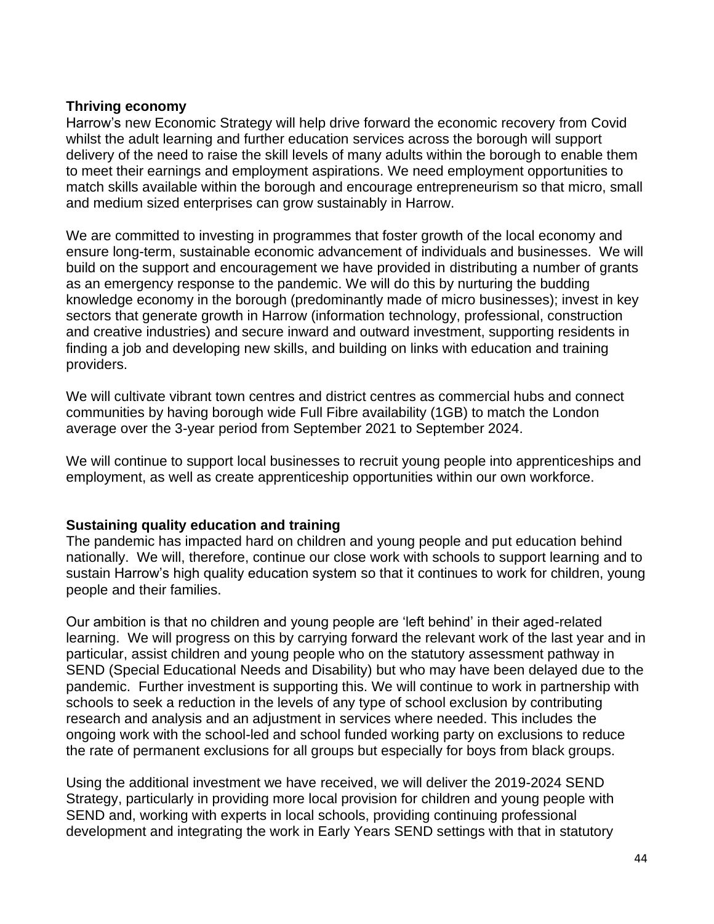#### **Thriving economy**

Harrow's new Economic Strategy will help drive forward the economic recovery from Covid whilst the adult learning and further education services across the borough will support delivery of the need to raise the skill levels of many adults within the borough to enable them to meet their earnings and employment aspirations. We need employment opportunities to match skills available within the borough and encourage entrepreneurism so that micro, small and medium sized enterprises can grow sustainably in Harrow.

We are committed to investing in programmes that foster growth of the local economy and ensure long-term, sustainable economic advancement of individuals and businesses. We will build on the support and encouragement we have provided in distributing a number of grants as an emergency response to the pandemic. We will do this by nurturing the budding knowledge economy in the borough (predominantly made of micro businesses); invest in key sectors that generate growth in Harrow (information technology, professional, construction and creative industries) and secure inward and outward investment, supporting residents in finding a job and developing new skills, and building on links with education and training providers.

We will cultivate vibrant town centres and district centres as commercial hubs and connect communities by having borough wide Full Fibre availability (1GB) to match the London average over the 3-year period from September 2021 to September 2024.

We will continue to support local businesses to recruit young people into apprenticeships and employment, as well as create apprenticeship opportunities within our own workforce.

#### **Sustaining quality education and training**

The pandemic has impacted hard on children and young people and put education behind nationally. We will, therefore, continue our close work with schools to support learning and to sustain Harrow's high quality education system so that it continues to work for children, young people and their families.

Our ambition is that no children and young people are 'left behind' in their aged-related learning. We will progress on this by carrying forward the relevant work of the last year and in particular, assist children and young people who on the statutory assessment pathway in SEND (Special Educational Needs and Disability) but who may have been delayed due to the pandemic. Further investment is supporting this. We will continue to work in partnership with schools to seek a reduction in the levels of any type of school exclusion by contributing research and analysis and an adjustment in services where needed. This includes the ongoing work with the school-led and school funded working party on exclusions to reduce the rate of permanent exclusions for all groups but especially for boys from black groups.

Using the additional investment we have received, we will deliver the 2019-2024 SEND Strategy, particularly in providing more local provision for children and young people with SEND and, working with experts in local schools, providing continuing professional development and integrating the work in Early Years SEND settings with that in statutory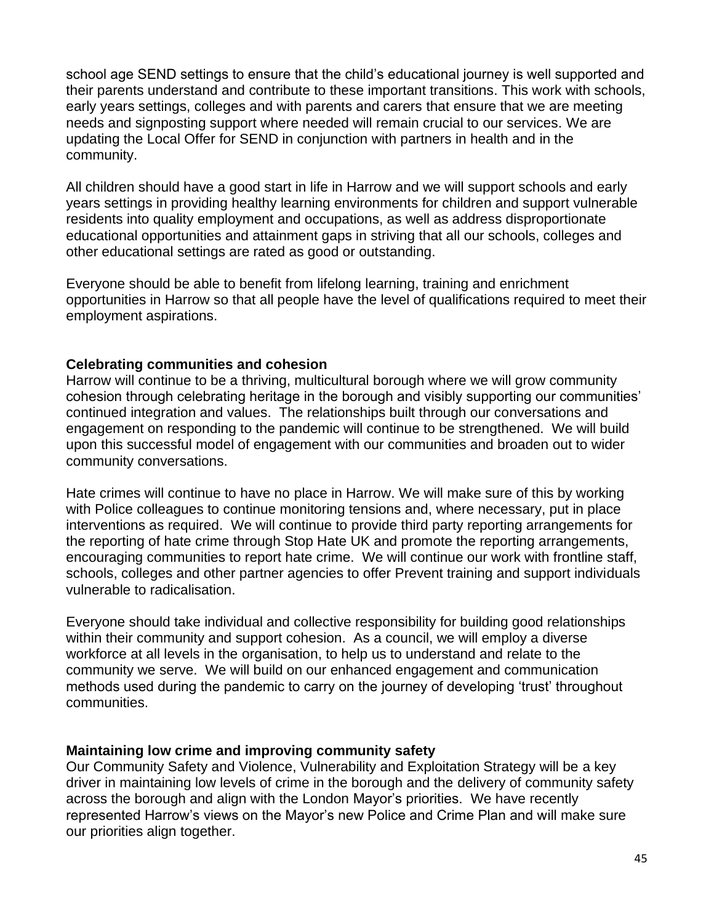school age SEND settings to ensure that the child's educational journey is well supported and their parents understand and contribute to these important transitions. This work with schools, early years settings, colleges and with parents and carers that ensure that we are meeting needs and signposting support where needed will remain crucial to our services. We are updating the Local Offer for SEND in conjunction with partners in health and in the community.

All children should have a good start in life in Harrow and we will support schools and early years settings in providing healthy learning environments for children and support vulnerable residents into quality employment and occupations, as well as address disproportionate educational opportunities and attainment gaps in striving that all our schools, colleges and other educational settings are rated as good or outstanding.

Everyone should be able to benefit from lifelong learning, training and enrichment opportunities in Harrow so that all people have the level of qualifications required to meet their employment aspirations.

#### **Celebrating communities and cohesion**

Harrow will continue to be a thriving, multicultural borough where we will grow community cohesion through celebrating heritage in the borough and visibly supporting our communities' continued integration and values. The relationships built through our conversations and engagement on responding to the pandemic will continue to be strengthened. We will build upon this successful model of engagement with our communities and broaden out to wider community conversations.

Hate crimes will continue to have no place in Harrow. We will make sure of this by working with Police colleagues to continue monitoring tensions and, where necessary, put in place interventions as required. We will continue to provide third party reporting arrangements for the reporting of hate crime through Stop Hate UK and promote the reporting arrangements, encouraging communities to report hate crime. We will continue our work with frontline staff, schools, colleges and other partner agencies to offer Prevent training and support individuals vulnerable to radicalisation.

Everyone should take individual and collective responsibility for building good relationships within their community and support cohesion. As a council, we will employ a diverse workforce at all levels in the organisation, to help us to understand and relate to the community we serve. We will build on our enhanced engagement and communication methods used during the pandemic to carry on the journey of developing 'trust' throughout communities.

#### **Maintaining low crime and improving community safety**

Our Community Safety and Violence, Vulnerability and Exploitation Strategy will be a key driver in maintaining low levels of crime in the borough and the delivery of community safety across the borough and align with the London Mayor's priorities. We have recently represented Harrow's views on the Mayor's new Police and Crime Plan and will make sure our priorities align together.